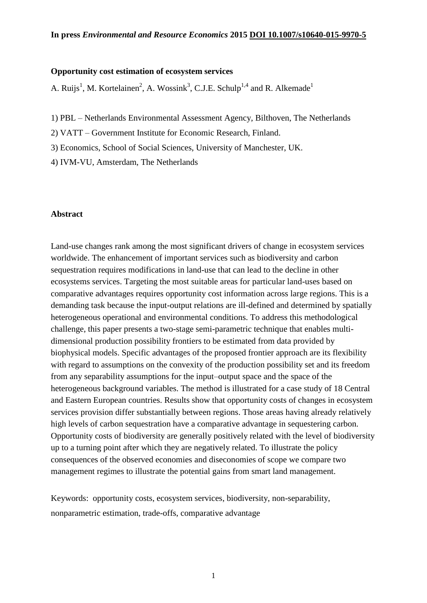### **Opportunity cost estimation of ecosystem services**

A. Ruijs<sup>1</sup>, M. Kortelainen<sup>2</sup>, A. Wossink<sup>3</sup>, C.J.E. Schulp<sup>1,4</sup> and R. Alkemade<sup>1</sup>

- 1) PBL Netherlands Environmental Assessment Agency, Bilthoven, The Netherlands
- 2) VATT Government Institute for Economic Research, Finland.
- 3) Economics, School of Social Sciences, University of Manchester, UK.
- 4) IVM-VU, Amsterdam, The Netherlands

#### **Abstract**

Land-use changes rank among the most significant drivers of change in ecosystem services worldwide. The enhancement of important services such as biodiversity and carbon sequestration requires modifications in land-use that can lead to the decline in other ecosystems services. Targeting the most suitable areas for particular land-uses based on comparative advantages requires opportunity cost information across large regions. This is a demanding task because the input-output relations are ill-defined and determined by spatially heterogeneous operational and environmental conditions. To address this methodological challenge, this paper presents a two-stage semi-parametric technique that enables multidimensional production possibility frontiers to be estimated from data provided by biophysical models. Specific advantages of the proposed frontier approach are its flexibility with regard to assumptions on the convexity of the production possibility set and its freedom from any separability assumptions for the input–output space and the space of the heterogeneous background variables. The method is illustrated for a case study of 18 Central and Eastern European countries. Results show that opportunity costs of changes in ecosystem services provision differ substantially between regions. Those areas having already relatively high levels of carbon sequestration have a comparative advantage in sequestering carbon. Opportunity costs of biodiversity are generally positively related with the level of biodiversity up to a turning point after which they are negatively related. To illustrate the policy consequences of the observed economies and diseconomies of scope we compare two management regimes to illustrate the potential gains from smart land management.

Keywords: opportunity costs, ecosystem services, biodiversity, non-separability, nonparametric estimation, trade-offs, comparative advantage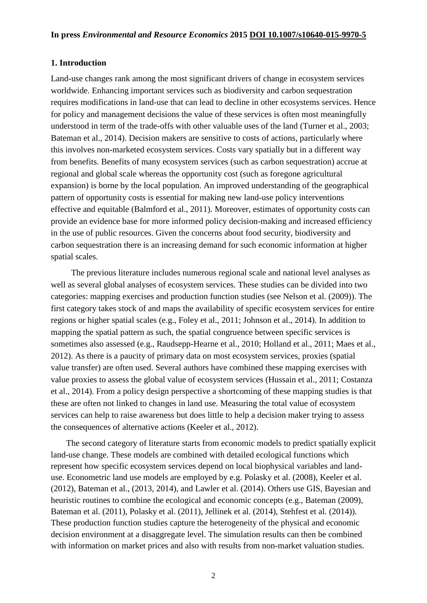# **1. Introduction**

Land-use changes rank among the most significant drivers of change in ecosystem services worldwide. Enhancing important services such as biodiversity and carbon sequestration requires modifications in land-use that can lead to decline in other ecosystems services. Hence for policy and management decisions the value of these services is often most meaningfully understood in term of the trade-offs with other valuable uses of the land (Turner et al., 2003; Bateman et al., 2014). Decision makers are sensitive to costs of actions, particularly where this involves non-marketed ecosystem services. Costs vary spatially but in a different way from benefits. Benefits of many ecosystem services (such as carbon sequestration) accrue at regional and global scale whereas the opportunity cost (such as foregone agricultural expansion) is borne by the local population. An improved understanding of the geographical pattern of opportunity costs is essential for making new land-use policy interventions effective and equitable (Balmford et al., 2011). Moreover, estimates of opportunity costs can provide an evidence base for more informed policy decision-making and increased efficiency in the use of public resources. Given the concerns about food security, biodiversity and carbon sequestration there is an increasing demand for such economic information at higher spatial scales.

The previous literature includes numerous regional scale and national level analyses as well as several global analyses of ecosystem services. These studies can be divided into two categories: mapping exercises and production function studies (see Nelson et al. (2009)). The first category takes stock of and maps the availability of specific ecosystem services for entire regions or higher spatial scales (e.g., Foley et al., 2011; Johnson et al., 2014). In addition to mapping the spatial pattern as such, the spatial congruence between specific services is sometimes also assessed (e.g., Raudsepp-Hearne et al., 2010; Holland et al., 2011; Maes et al., 2012). As there is a paucity of primary data on most ecosystem services, proxies (spatial value transfer) are often used. Several authors have combined these mapping exercises with value proxies to assess the global value of ecosystem services (Hussain et al., 2011; Costanza et al., 2014). From a policy design perspective a shortcoming of these mapping studies is that these are often not linked to changes in land use. Measuring the total value of ecosystem services can help to raise awareness but does little to help a decision maker trying to assess the consequences of alternative actions (Keeler et al., 2012).

The second category of literature starts from economic models to predict spatially explicit land-use change. These models are combined with detailed ecological functions which represent how specific ecosystem services depend on local biophysical variables and landuse. Econometric land use models are employed by e.g. Polasky et al. (2008), Keeler et al. (2012), Bateman et al., (2013, 2014), and Lawler et al. (2014). Others use GIS, Bayesian and heuristic routines to combine the ecological and economic concepts (e.g., Bateman (2009), Bateman et al. (2011), Polasky et al. (2011), Jellinek et al. (2014), Stehfest et al. (2014)). These production function studies capture the heterogeneity of the physical and economic decision environment at a disaggregate level. The simulation results can then be combined with information on market prices and also with results from non-market valuation studies.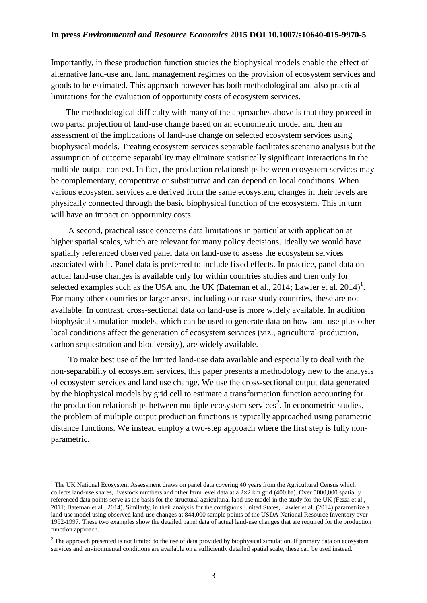Importantly, in these production function studies the biophysical models enable the effect of alternative land-use and land management regimes on the provision of ecosystem services and goods to be estimated. This approach however has both methodological and also practical limitations for the evaluation of opportunity costs of ecosystem services.

The methodological difficulty with many of the approaches above is that they proceed in two parts: projection of land-use change based on an econometric model and then an assessment of the implications of land-use change on selected ecosystem services using biophysical models. Treating ecosystem services separable facilitates scenario analysis but the assumption of outcome separability may eliminate statistically significant interactions in the multiple-output context. In fact, the production relationships between ecosystem services may be complementary, competitive or substitutive and can depend on local conditions. When various ecosystem services are derived from the same ecosystem, changes in their levels are physically connected through the basic biophysical function of the ecosystem. This in turn will have an impact on opportunity costs.

A second, practical issue concerns data limitations in particular with application at higher spatial scales, which are relevant for many policy decisions. Ideally we would have spatially referenced observed panel data on land-use to assess the ecosystem services associated with it. Panel data is preferred to include fixed effects. In practice, panel data on actual land-use changes is available only for within countries studies and then only for selected examples such as the USA and the UK (Bateman et al., 2014; Lawler et al. 2014)<sup>1</sup>. For many other countries or larger areas, including our case study countries, these are not available. In contrast, cross-sectional data on land-use is more widely available. In addition biophysical simulation models, which can be used to generate data on how land-use plus other local conditions affect the generation of ecosystem services (viz., agricultural production, carbon sequestration and biodiversity), are widely available.

To make best use of the limited land-use data available and especially to deal with the non-separability of ecosystem services, this paper presents a methodology new to the analysis of ecosystem services and land use change. We use the cross-sectional output data generated by the biophysical models by grid cell to estimate a transformation function accounting for the production relationships between multiple ecosystem services<sup>2</sup>. In econometric studies, the problem of multiple output production functions is typically approached using parametric distance functions. We instead employ a two-step approach where the first step is fully nonparametric.

 $\overline{a}$ 

<sup>&</sup>lt;sup>1</sup> The UK National Ecosystem Assessment draws on panel data covering 40 years from the Agricultural Census which collects land-use shares, livestock numbers and other farm level data at a  $2\times2$  km grid (400 ha). Over 5000,000 spatially referenced data points serve as the basis for the structural agricultural land use model in the study for the UK (Fezzi et al., 2011; Bateman et al., 2014). Similarly, in their analysis for the contiguous United States, Lawler et al. (2014) parametrize a land-use model using observed land-use changes at 844,000 sample points of the USDA National Resource Inventory over 1992-1997. These two examples show the detailed panel data of actual land-use changes that are required for the production function approach.

<sup>&</sup>lt;sup>2</sup> The approach presented is not limited to the use of data provided by biophysical simulation. If primary data on ecosystem services and environmental conditions are available on a sufficiently detailed spatial scale, these can be used instead.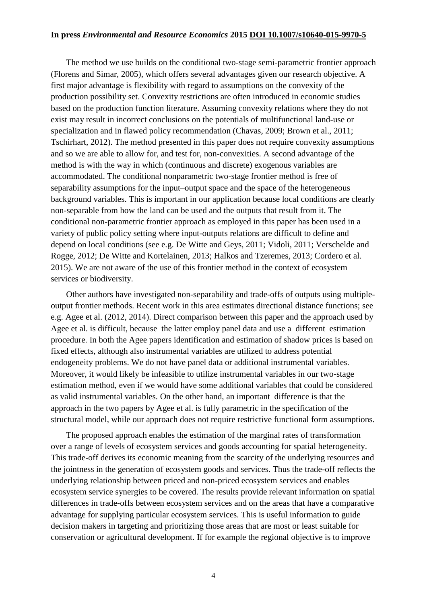The method we use builds on the conditional two-stage semi-parametric frontier approach (Florens and Simar, 2005), which offers several advantages given our research objective. A first major advantage is flexibility with regard to assumptions on the convexity of the production possibility set. Convexity restrictions are often introduced in economic studies based on the production function literature. Assuming convexity relations where they do not exist may result in incorrect conclusions on the potentials of multifunctional land-use or specialization and in flawed policy recommendation (Chavas, 2009; Brown et al., 2011; Tschirhart, 2012). The method presented in this paper does not require convexity assumptions and so we are able to allow for, and test for, non-convexities. A second advantage of the method is with the way in which (continuous and discrete) exogenous variables are accommodated. The conditional nonparametric two-stage frontier method is free of separability assumptions for the input–output space and the space of the heterogeneous background variables. This is important in our application because local conditions are clearly non-separable from how the land can be used and the outputs that result from it. The conditional non-parametric frontier approach as employed in this paper has been used in a variety of public policy setting where input-outputs relations are difficult to define and depend on local conditions (see e.g. De Witte and Geys, 2011; Vidoli, 2011; Verschelde and Rogge, 2012; De Witte and Kortelainen, 2013; Halkos and Tzeremes, 2013; Cordero et al. 2015). We are not aware of the use of this frontier method in the context of ecosystem services or biodiversity.

Other authors have investigated non-separability and trade-offs of outputs using multipleoutput frontier methods. Recent work in this area estimates directional distance functions; see e.g. Agee et al. (2012, 2014). Direct comparison between this paper and the approach used by Agee et al. is difficult, because the latter employ panel data and use a different estimation procedure. In both the Agee papers identification and estimation of shadow prices is based on fixed effects, although also instrumental variables are utilized to address potential endogeneity problems. We do not have panel data or additional instrumental variables. Moreover, it would likely be infeasible to utilize instrumental variables in our two-stage estimation method, even if we would have some additional variables that could be considered as valid instrumental variables. On the other hand, an important difference is that the approach in the two papers by Agee et al. is fully parametric in the specification of the structural model, while our approach does not require restrictive functional form assumptions.

The proposed approach enables the estimation of the marginal rates of transformation over a range of levels of ecosystem services and goods accounting for spatial heterogeneity. This trade-off derives its economic meaning from the scarcity of the underlying resources and the jointness in the generation of ecosystem goods and services. Thus the trade-off reflects the underlying relationship between priced and non-priced ecosystem services and enables ecosystem service synergies to be covered. The results provide relevant information on spatial differences in trade-offs between ecosystem services and on the areas that have a comparative advantage for supplying particular ecosystem services. This is useful information to guide decision makers in targeting and prioritizing those areas that are most or least suitable for conservation or agricultural development. If for example the regional objective is to improve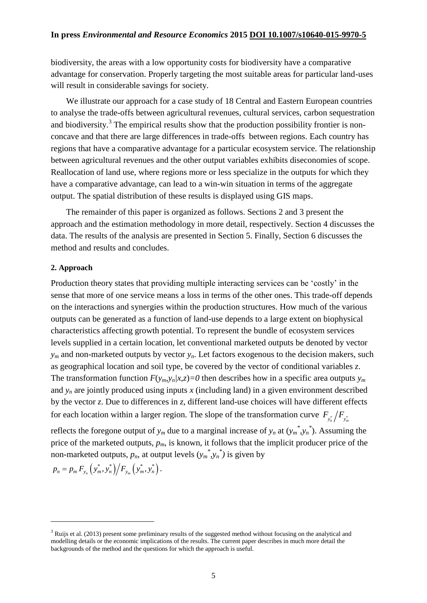biodiversity, the areas with a low opportunity costs for biodiversity have a comparative advantage for conservation. Properly targeting the most suitable areas for particular land-uses will result in considerable savings for society.

We illustrate our approach for a case study of 18 Central and Eastern European countries to analyse the trade-offs between agricultural revenues, cultural services, carbon sequestration and biodiversity.<sup>3</sup> The empirical results show that the production possibility frontier is nonconcave and that there are large differences in trade-offs between regions. Each country has regions that have a comparative advantage for a particular ecosystem service. The relationship between agricultural revenues and the other output variables exhibits diseconomies of scope. Reallocation of land use, where regions more or less specialize in the outputs for which they have a comparative advantage, can lead to a win-win situation in terms of the aggregate output. The spatial distribution of these results is displayed using GIS maps.

The remainder of this paper is organized as follows. Sections 2 and 3 present the approach and the estimation methodology in more detail, respectively. Section 4 discusses the data. The results of the analysis are presented in Section 5. Finally, Section 6 discusses the method and results and concludes.

#### **2. Approach**

Production theory states that providing multiple interacting services can be 'costly' in the sense that more of one service means a loss in terms of the other ones. This trade-off depends on the interactions and synergies within the production structures. How much of the various outputs can be generated as a function of land-use depends to a large extent on biophysical characteristics affecting growth potential. To represent the bundle of ecosystem services levels supplied in a certain location, let conventional marketed outputs be denoted by vector *y<sup>m</sup>* and non-marketed outputs by vector *yn*. Let factors exogenous to the decision makers, such as geographical location and soil type, be covered by the vector of conditional variables *z*. The transformation function  $F(y_m, y_n/x, z) = 0$  then describes how in a specific area outputs  $y_m$ and  $y_n$  are jointly produced using inputs  $x$  (including land) in a given environment described by the vector *z*. Due to differences in *z*, different land-use choices will have different effects for each location within a larger region. The slope of the transformation curve  $F_{y_n^*}/F_{y_n^*}$ 

reflects the foregone output of  $y_m$  due to a marginal increase of  $y_n$  at  $(y_m^*, y_n^*)$ . Assuming the price of the marketed outputs,  $p_m$ , is known, it follows that the implicit producer price of the non-marketed outputs,  $p_n$ , at output levels  $(y_m^*, y_n^*)$  is given by

$$
p_n = p_m F_{y_n} \left( y_m^*, y_n^* \right) / F_{y_m} \left( y_m^*, y_n^* \right).
$$

 $\overline{a}$ 

 $3$  Ruijs et al. (2013) present some preliminary results of the suggested method without focusing on the analytical and modelling details or the economic implications of the results. The current paper describes in much more detail the backgrounds of the method and the questions for which the approach is useful.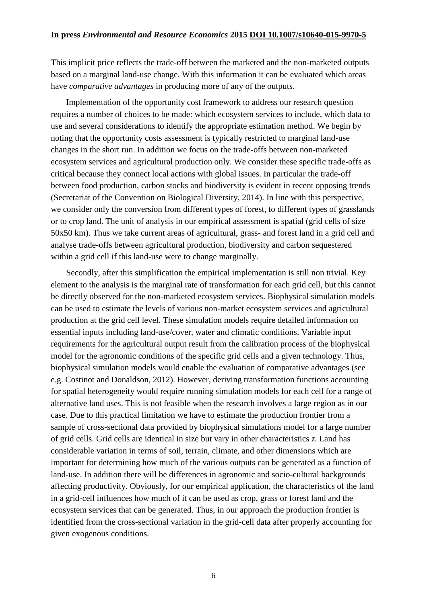This implicit price reflects the trade-off between the marketed and the non-marketed outputs based on a marginal land-use change. With this information it can be evaluated which areas have *comparative advantages* in producing more of any of the outputs.

Implementation of the opportunity cost framework to address our research question requires a number of choices to be made: which ecosystem services to include, which data to use and several considerations to identify the appropriate estimation method. We begin by noting that the opportunity costs assessment is typically restricted to marginal land-use changes in the short run. In addition we focus on the trade-offs between non-marketed ecosystem services and agricultural production only. We consider these specific trade-offs as critical because they connect local actions with global issues. In particular the trade-off between food production, carbon stocks and biodiversity is evident in recent opposing trends (Secretariat of the Convention on Biological Diversity, 2014). In line with this perspective, we consider only the conversion from different types of forest, to different types of grasslands or to crop land. The unit of analysis in our empirical assessment is spatial (grid cells of size 50x50 km). Thus we take current areas of agricultural, grass- and forest land in a grid cell and analyse trade-offs between agricultural production, biodiversity and carbon sequestered within a grid cell if this land-use were to change marginally.

Secondly, after this simplification the empirical implementation is still non trivial. Key element to the analysis is the marginal rate of transformation for each grid cell, but this cannot be directly observed for the non-marketed ecosystem services. Biophysical simulation models can be used to estimate the levels of various non-market ecosystem services and agricultural production at the grid cell level. These simulation models require detailed information on essential inputs including land-use/cover, water and climatic conditions. Variable input requirements for the agricultural output result from the calibration process of the biophysical model for the agronomic conditions of the specific grid cells and a given technology. Thus, biophysical simulation models would enable the evaluation of comparative advantages (see e.g. Costinot and Donaldson, 2012). However, deriving transformation functions accounting for spatial heterogeneity would require running simulation models for each cell for a range of alternative land uses. This is not feasible when the research involves a large region as in our case. Due to this practical limitation we have to estimate the production frontier from a sample of cross-sectional data provided by biophysical simulations model for a large number of grid cells. Grid cells are identical in size but vary in other characteristics *z*. Land has considerable variation in terms of soil, terrain, climate, and other dimensions which are important for determining how much of the various outputs can be generated as a function of land-use. In addition there will be differences in agronomic and socio-cultural backgrounds affecting productivity. Obviously, for our empirical application, the characteristics of the land in a grid-cell influences how much of it can be used as crop, grass or forest land and the ecosystem services that can be generated. Thus, in our approach the production frontier is identified from the cross-sectional variation in the grid-cell data after properly accounting for given exogenous conditions.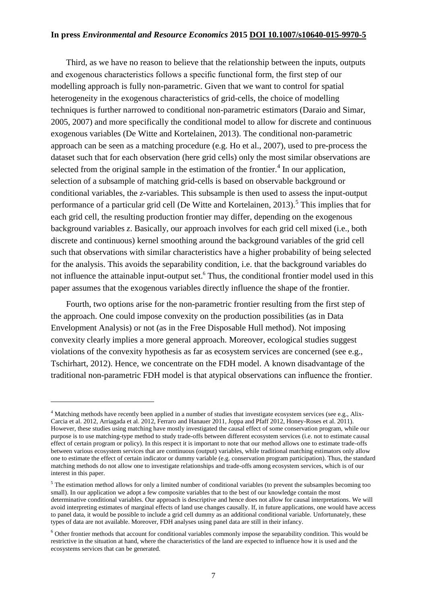Third, as we have no reason to believe that the relationship between the inputs, outputs and exogenous characteristics follows a specific functional form, the first step of our modelling approach is fully non-parametric. Given that we want to control for spatial heterogeneity in the exogenous characteristics of grid-cells, the choice of modelling techniques is further narrowed to conditional non-parametric estimators (Daraio and Simar, 2005, 2007) and more specifically the conditional model to allow for discrete and continuous exogenous variables (De Witte and Kortelainen, 2013). The conditional non-parametric approach can be seen as a matching procedure (e.g. Ho et al., 2007), used to pre-process the dataset such that for each observation (here grid cells) only the most similar observations are selected from the original sample in the estimation of the frontier.<sup>4</sup> In our application, selection of a subsample of matching grid-cells is based on observable background or conditional variables, the *z*-variables. This subsample is then used to assess the input-output performance of a particular grid cell (De Witte and Kortelainen, 2013).<sup>5</sup> This implies that for each grid cell, the resulting production frontier may differ, depending on the exogenous background variables *z*. Basically, our approach involves for each grid cell mixed (i.e., both discrete and continuous) kernel smoothing around the background variables of the grid cell such that observations with similar characteristics have a higher probability of being selected for the analysis. This avoids the separability condition, i.e. that the background variables do not influence the attainable input-output set.<sup>6</sup> Thus, the conditional frontier model used in this paper assumes that the exogenous variables directly influence the shape of the frontier.

Fourth, two options arise for the non-parametric frontier resulting from the first step of the approach. One could impose convexity on the production possibilities (as in Data Envelopment Analysis) or not (as in the Free Disposable Hull method). Not imposing convexity clearly implies a more general approach. Moreover, ecological studies suggest violations of the convexity hypothesis as far as ecosystem services are concerned (see e.g., Tschirhart, 2012). Hence, we concentrate on the FDH model. A known disadvantage of the traditional non-parametric FDH model is that atypical observations can influence the frontier.

 $\overline{a}$ 

<sup>&</sup>lt;sup>4</sup> Matching methods have recently been applied in a number of studies that investigate ecosystem services (see e.g., Alix-Carcia et al. 2012, Arriagada et al. 2012, Ferraro and Hanauer 2011, Joppa and Pfaff 2012, Honey-Roses et al. 2011). However, these studies using matching have mostly investigated the causal effect of some conservation program, while our purpose is to use matching-type method to study trade-offs between different ecosystem services (i.e. not to estimate causal effect of certain program or policy). In this respect it is important to note that our method allows one to estimate trade-offs between various ecosystem services that are continuous (output) variables, while traditional matching estimators only allow one to estimate the effect of certain indicator or dummy variable (e.g. conservation program participation). Thus, the standard matching methods do not allow one to investigate relationships and trade-offs among ecosystem services, which is of our interest in this paper.

<sup>&</sup>lt;sup>5</sup> The estimation method allows for only a limited number of conditional variables (to prevent the subsamples becoming too small). In our application we adopt a few composite variables that to the best of our knowledge contain the most determinative conditional variables. Our approach is descriptive and hence does not allow for causal interpretations. We will avoid interpreting estimates of marginal effects of land use changes causally. If, in future applications, one would have access to panel data, it would be possible to include a grid cell dummy as an additional conditional variable. Unfortunately, these types of data are not available. Moreover, FDH analyses using panel data are still in their infancy.

<sup>6</sup> Other frontier methods that account for conditional variables commonly impose the separability condition. This would be restrictive in the situation at hand, where the characteristics of the land are expected to influence how it is used and the ecosystems services that can be generated.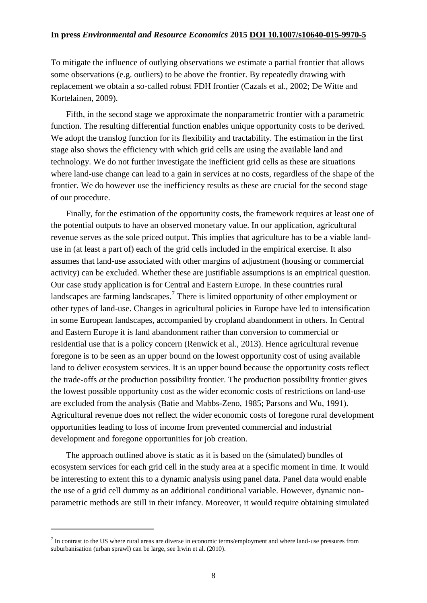To mitigate the influence of outlying observations we estimate a partial frontier that allows some observations (e.g. outliers) to be above the frontier. By repeatedly drawing with replacement we obtain a so-called robust FDH frontier (Cazals et al., 2002; De Witte and Kortelainen, 2009).

Fifth, in the second stage we approximate the nonparametric frontier with a parametric function. The resulting differential function enables unique opportunity costs to be derived. We adopt the translog function for its flexibility and tractability. The estimation in the first stage also shows the efficiency with which grid cells are using the available land and technology. We do not further investigate the inefficient grid cells as these are situations where land-use change can lead to a gain in services at no costs, regardless of the shape of the frontier. We do however use the inefficiency results as these are crucial for the second stage of our procedure.

Finally, for the estimation of the opportunity costs, the framework requires at least one of the potential outputs to have an observed monetary value. In our application, agricultural revenue serves as the sole priced output. This implies that agriculture has to be a viable landuse in (at least a part of) each of the grid cells included in the empirical exercise. It also assumes that land-use associated with other margins of adjustment (housing or commercial activity) can be excluded. Whether these are justifiable assumptions is an empirical question. Our case study application is for Central and Eastern Europe. In these countries rural landscapes are farming landscapes.<sup>7</sup> There is limited opportunity of other employment or other types of land-use. Changes in agricultural policies in Europe have led to intensification in some European landscapes, accompanied by cropland abandonment in others. In Central and Eastern Europe it is land abandonment rather than conversion to commercial or residential use that is a policy concern (Renwick et al., 2013). Hence agricultural revenue foregone is to be seen as an upper bound on the lowest opportunity cost of using available land to deliver ecosystem services. It is an upper bound because the opportunity costs reflect the trade-offs *at* the production possibility frontier. The production possibility frontier gives the lowest possible opportunity cost as the wider economic costs of restrictions on land-use are excluded from the analysis (Batie and Mabbs-Zeno, 1985; Parsons and Wu, 1991). Agricultural revenue does not reflect the wider economic costs of foregone rural development opportunities leading to loss of income from prevented commercial and industrial development and foregone opportunities for job creation.

The approach outlined above is static as it is based on the (simulated) bundles of ecosystem services for each grid cell in the study area at a specific moment in time. It would be interesting to extent this to a dynamic analysis using panel data. Panel data would enable the use of a grid cell dummy as an additional conditional variable. However, dynamic nonparametric methods are still in their infancy. Moreover, it would require obtaining simulated

 $\overline{a}$ 

 $<sup>7</sup>$  In contrast to the US where rural areas are diverse in economic terms/employment and where land-use pressures from</sup> suburbanisation (urban sprawl) can be large, see Irwin et al. (2010).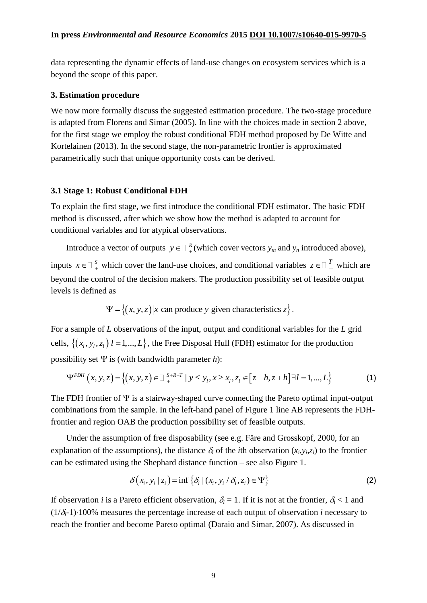data representing the dynamic effects of land-use changes on ecosystem services which is a beyond the scope of this paper.

### **3. Estimation procedure**

We now more formally discuss the suggested estimation procedure. The two-stage procedure is adapted from Florens and Simar (2005). In line with the choices made in section 2 above, for the first stage we employ the robust conditional FDH method proposed by De Witte and Kortelainen (2013). In the second stage, the non-parametric frontier is approximated parametrically such that unique opportunity costs can be derived.

### **3.1 Stage 1: Robust Conditional FDH**

To explain the first stage, we first introduce the conditional FDH estimator. The basic FDH method is discussed, after which we show how the method is adapted to account for conditional variables and for atypical observations.

Introduce a vector of outputs  $y \in \mathbb{R}^R$  (which cover vectors  $y_m$  and  $y_n$  introduced above),

inputs  $x \in \mathbb{S}^s$  which cover the land-use choices, and conditional variables  $z \in \mathbb{S}^r$  which are beyond the control of the decision makers. The production possibility set of feasible output levels is defined as *x*  $\Psi = \{(x, y, z) | x \text{ can produce } y \text{ given characteristics } z\}.$ 

$$
\Psi = \{(x, y, z) | x \text{ can produce } y \text{ given characteristics } z\}.
$$

For a sample of *L* observations of the input, output and conditional variables for the *L* grid cells,  $\{(x_i, y_i, z_i) | l = 1, ..., L\}$ , the Free Disposal Hull (FDH) estimator for the production<br>possibility set  $\Psi$  is (with bandwidth parameter *h*):<br> $\Psi^{FDH}(x, y, z) = \{(x, y, z) \in \Box_{+}^{s+R+T} | y \leq y_i, x \geq x_i, z_i \in [z-h, z+h] \exists l = 1, ..., L\}$  $(y_l, z_l) | l = 1,..., L$ ; the Free Disposar Huri (FDH) estimator for the proof<br>set  $\Psi$  is (with bandwidth parameter h):<br> $(x, y, z) = \{(x, y, z) \in \square_{+}^{S+R+T} | y \leq y_l, x \geq x_l, z_l \in [z-h, z+h] \exists l = 1,..., L\}$ 

possibility set 
$$
\Psi
$$
 is (with bandwidth parameter h):  
\n
$$
\Psi^{FDH}(x, y, z) = \{(x, y, z) \in \Box^{s+R+T} \mid y \leq y_l, x \geq x_l, z_l \in [z-h, z+h] \exists l=1,...,L\}
$$
\n(1)

The FDH frontier of  $\Psi$  is a stairway-shaped curve connecting the Pareto optimal input-output combinations from the sample. In the left-hand panel of Figure 1 line AB represents the FDHfrontier and region OAB the production possibility set of feasible outputs.

Under the assumption of free disposability (see e.g. Färe and Grosskopf, 2000, for an explanation of the assumptions), the distance  $\delta_i$  of the *i*th observation  $(x_i, y_i, z_i)$  to the frontier can be estimated using the Shephard distance function – see also Figure 1.<br>  $\delta(x_i, y_i | z_i) = \inf \{\delta_i | (x_i, y_i / \delta_i, z_i) \in \Psi\}$ 

<span id="page-8-0"></span>
$$
\delta(x_i, y_i \mid z_i) = \inf \{ \delta_i \mid (x_i, y_i \mid \delta_i, z_i) \in \Psi \}
$$
\n(2)

If observation *i* is a Pareto efficient observation,  $\delta_i = 1$ . If it is not at the frontier,  $\delta_i < 1$  and  $(1/\delta_i-1)$ -100% measures the percentage increase of each output of observation *i* necessary to reach the frontier and become Pareto optimal (Daraio and Simar, 2007). As discussed in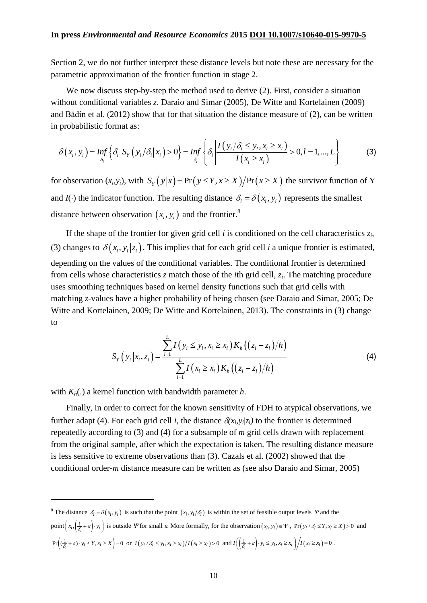Section 2, we do not further interpret these distance levels but note these are necessary for the parametric approximation of the frontier function in stage 2.

We now discuss step-by-step the method used to derive (2). First, consider a situation without conditional variables *z*. Daraio and Simar (2005), De Witte and Kortelainen (2009) and Bădin et al. (2012) show that for that situation the distance measure of (2), can be written<br>in probabilistic format as:<br> $\delta(x_i, y_i) = Inf \{\delta_i | S_Y(y_i/\delta_i | x_i) > 0\} = Inf \{\delta_i | \frac{I(y_i/\delta_i \le y_i, x_i \ge x_i)}{I(x_i > x_i)} > 0, l = 1, ..., L\}$  (3) in probabilistic format as:

<span id="page-9-0"></span>probabilistic format as:  
\n
$$
\delta(x_i, y_i) = \inf_{\delta_i} \left\{ \delta_i \left| S_Y(y_i/\delta_i | x_i) > 0 \right\} \right\} = \inf_{\delta_i} \left\{ \delta_i \left| \frac{I(y_i/\delta_i \le y_i, x_i \ge x_i)}{I(x_i \ge x_i)} > 0, l = 1, ..., L \right\} \right\}
$$
\n(3)

for observation  $(x_i, y_i)$ , with  $S_Y(y|x) = Pr(y \le Y, x \ge X)/Pr(x \ge X)$  the survivor function of Y and *I*( $\cdot$ ) the indicator function. The resulting distance  $\delta_i = \delta(x_i, y_i)$  represents the smallest distance between observation  $(x_i, y_i)$  and the frontier.<sup>8</sup>

If the shape of the frontier for given grid cell  $i$  is conditioned on the cell characteristics  $z_i$ , (3) changes to  $\delta(x_i, y_i|z_i)$ . This implies that for each grid cell *i* a unique frontier is estimated, depending on the values of the conditional variables. The conditional frontier is determined from cells whose characteristics *z* match those of the *i*th grid cell, *z<sup>i</sup>* . The matching procedure uses smoothing techniques based on kernel density functions such that grid cells with matching *z*-values have a higher probability of being chosen (see Daraio and Simar, 2005; De Witte and Kortelainen, 2009; De Witte and Kortelainen, 2013). The constraints in [\(3\)](#page-9-0) change to

<span id="page-9-1"></span>
$$
S_{Y}\left(y_{i}|x_{i},z_{i}\right) = \frac{\sum_{l=1}^{L} I\left(y_{i} \leq y_{l}, x_{i} \geq x_{l}\right) K_{h}\left(\left(z_{i}-z_{l}\right)/h\right)}{\sum_{l=1}^{L} I\left(x_{i} \geq x_{l}\right) K_{h}\left(\left(z_{i}-z_{l}\right)/h\right)}
$$
(4)

with *Kh*(.) a kernel function with bandwidth parameter *h*.

 $\overline{a}$ 

Finally, in order to correct for the known sensitivity of FDH to atypical observations, we further adapt (4). For each grid cell *i*, the distance  $\partial(x_i, y_i|z_i)$  to the frontier is determined repeatedly according to [\(3\)](#page-9-0) and [\(4\)](#page-9-1) for a subsample of *m* grid cells drawn with replacement from the original sample, after which the expectation is taken. The resulting distance measure is less sensitive to extreme observations than [\(3\).](#page-9-0) Cazals et al. (2002) showed that the conditional order-*m* distance measure can be written as (see also Daraio and Simar, 2005)

<sup>&</sup>lt;sup>8</sup> The distance  $\delta_i = \delta(x_i, y_i)$  is such that the point  $(x_i, y_i/\delta_i)$  is within the set of feasible output levels  $\mathcal Y$  and the point  $\left(x_i, \left(\frac{1}{\delta_i} + \varepsilon\right) \cdot y_i\right)$  is outside  $\Psi$  for small  $\varepsilon$ . More formally, for the observation  $(x_i, y_i) \in \Psi$ ,  $\Pr(y_i / \delta_i \le Y, x_i \ge X) > 0$  and  $\Pr\left((\frac{1}{\delta_i}+\varepsilon)\cdot y_i \leq Y, x_i \geq X\right) = 0$  or  $I\left(y_i \mid \delta_i \leq y_i, x_i \geq x_i\right) / I\left(x_i \geq x_i\right) > 0$  and  $I\left(\left(\frac{1}{\delta_i}+\varepsilon\right)\cdot y_i \leq y_i, x_i \geq x_i\right) / I\left(x_i \geq x_i\right) = 0$  $I\left(\left(\frac{1}{\delta_i} + \varepsilon\right) \cdot y_i \leq y_l, x_i \geq x_l\right) / I\left(x_i \geq x_l\right) = 0$ .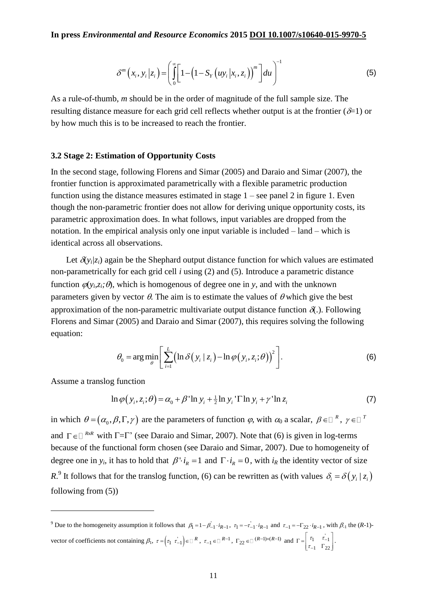<span id="page-10-0"></span>
$$
\delta^{m}(x_{i}, y_{i} | z_{i}) = \left(\int_{0}^{\infty} \left[1 - \left(1 - S_{Y}\left(u y_{i} | x_{i}, z_{i}\right)\right)^{m}\right] du\right)^{-1}
$$
\n(5)

As a rule-of-thumb, *m* should be in the order of magnitude of the full sample size. The resulting distance measure for each grid cell reflects whether output is at the frontier ( $\&$ 1) or by how much this is to be increased to reach the frontier.

## **3.2 Stage 2: Estimation of Opportunity Costs**

In the second stage, following Florens and Simar (2005) and Daraio and Simar (2007), the frontier function is approximated parametrically with a flexible parametric production function using the distance measures estimated in stage  $1$  – see panel 2 in figure 1. Even though the non-parametric frontier does not allow for deriving unique opportunity costs, its parametric approximation does. In what follows, input variables are dropped from the notation. In the empirical analysis only one input variable is included – land – which is identical across all observations.

 $(x_i, y_i | z_i) = \left[ \int_{0}^{1} 1 - (1 - S_Y(u y_i | x_i, z_i)) \right]$ <br>should be in the order of magnitude (sure for each grid cell reflects whether,<br>be increased to reach the frontier.<br>on of Opportunity Costs<br>llowing Florens and Simar (2005) an<br>p Let  $\delta(y_i|z_i)$  again be the Shephard output distance function for which values are estimated non-parametrically for each grid cell *i* using [\(2\)](#page-8-0) and [\(5\).](#page-10-0) Introduce a parametric distance function  $\varphi(y_i, z_i; \theta)$ , which is homogenous of degree one in *y*, and with the unknown parameters given by vector  $\theta$ . The aim is to estimate the values of  $\theta$  which give the best approximation of the non-parametric multivariate output distance function  $\delta$ .). Following Florens and Simar (2005) and Daraio and Simar (2007), this requires solving the following equation:

<span id="page-10-1"></span>
$$
\theta_0 = \arg\min_{\theta} \left[ \sum_{i=1}^{L} \left( \ln \delta(y_i \mid z_i) - \ln \varphi(y_i, z_i; \theta) \right)^2 \right].
$$
 (6)

Assume a translog function

 $\overline{a}$ 

<span id="page-10-2"></span>g function  
\n
$$
\ln \varphi(y_i, z_i; \theta) = \alpha_0 + \beta' \ln y_i + \frac{1}{2} \ln y_i' \ln y_i + \gamma' \ln z_i
$$
\n(7)

in which  $\theta = (\alpha_0, \beta, \Gamma, \gamma)$  are the parameters of function  $\varphi$ , with  $\alpha_0$  a scalar,  $\beta \in \Box^R$ ,  $\gamma \in \Box^T$ and  $\Gamma \in \Box^{RxR}$  with  $\Gamma = \Gamma'$  (see Daraio and Simar, 2007). Note that [\(6\)](#page-10-1) is given in log-terms because of the functional form chosen (see Daraio and Simar, 2007). Due to homogeneity of degree one in  $y_i$ , it has to hold that  $\beta \cdot i_k = 1$  and  $\Gamma \cdot i_k = 0$ , with  $i_k$  the identity vector of size *R*.<sup>9</sup> It follows that for the translog function, [\(6\)](#page-10-1) can be rewritten as (with values  $\delta_i = \delta(y_i | z_i)$ following from (5))

<sup>&</sup>lt;sup>9</sup> Due to the homogeneity assumption it follows that  $\beta_1 = 1 - \beta_{-1} \cdot i_{R-1}$ ,  $\tau_1 = -\tau_{-1} \cdot i_{R-1}$  and  $\tau_{-1} = -\Gamma_{22} \cdot i_{R-1}$ , with  $\beta_1$  the (*R*-1)vector of coefficients not containing  $\beta_1$ ,  $\tau = \begin{pmatrix} \tau_1 & \tau_{-1} \end{pmatrix} \in \mathbb{R}^R$ ,  $\tau_{-1} \in \mathbb{R}^{R-1}$ ,  $\Gamma_{22} \in \mathbb{R}^{(R-1)\times (R-1)}$  and  $\Gamma = \begin{pmatrix} \tau_1 & \tau_{-1} \end{pmatrix}$ 1 22  $\tau_1$   $\tau$ τ Ļ,  $\overline{a}$  $\Gamma = \begin{bmatrix} \tau_1 & \tau_{-1} \\ \tau_{-1} & \Gamma_{22} \end{bmatrix}.$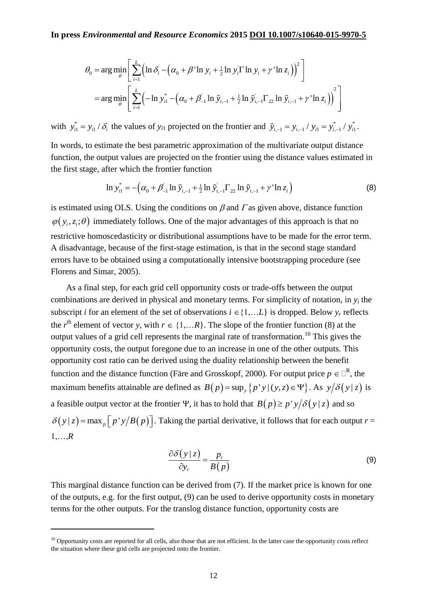In press *Environmental and Resource Economics* 2015 DOI 10.1007/s10640-015-9970-5  
\n
$$
\theta_0 = \arg \min_{\theta} \left[ \sum_{i=1}^{L} \left( \ln \delta_i - \left( \alpha_0 + \beta' \ln y_i + \frac{1}{2} \ln y_i \right) \ln y_i + \gamma' \ln z_i \right) \right)^2 \right]
$$
\n
$$
= \arg \min_{\theta} \left[ \sum_{i=1}^{L} \left( -\ln y_{i1}^* - \left( \alpha_0 + \beta_{-1} \ln \tilde{y}_{i,-1} + \frac{1}{2} \ln \tilde{y}_{i,-1} \right) \ln \tilde{y}_{i,-1} + \gamma' \ln z_i \right) \right]^2 \right]
$$

with  $y_{i1}^* = y_{i1} / \delta_i$  the values of  $y_{i1}$  projected on the frontier and  $\tilde{y}_{i-1} = y_{i-1} / y_{i1} = y_{i-1} / y_{i1}$ .

In words, to estimate the best parametric approximation of the multivariate output distance function, the output values are projected on the frontier using the distance values estimated in the first stage, after which the frontier function<br>  $\ln y_{i1}^* = -(\alpha_0 + \beta_{-1}^{\dagger} \ln \tilde{y}_{i,-1} + \frac{1}{2} \ln \tilde{y}_{i,-1}^{\dagger} \Gamma_{22} \ln \tilde{y}_{i,-1} + \gamma' \ln z_i)$ 

<span id="page-11-0"></span>
$$
\ln y_{i1}^* = -(\alpha_0 + \beta_{-1}^{\dagger} \ln \tilde{y}_{i,-1} + \frac{1}{2} \ln \tilde{y}_{i,-1}^{\dagger} \Gamma_{22} \ln \tilde{y}_{i,-1} + \gamma' \ln z_i)
$$
(8)

is estimated using OLS. Using the conditions on  $\beta$  and  $\Gamma$  as given above, distance function  $\varphi(y_i, z_i; \theta)$  immediately follows. One of the major advantages of this approach is that no restrictive homoscedasticity or distributional assumptions have to be made for the error term. A disadvantage, because of the first-stage estimation, is that in the second stage standard errors have to be obtained using a computationally intensive bootstrapping procedure (see Florens and Simar, 2005).

As a final step, for each grid cell opportunity costs or trade-offs between the output combinations are derived in physical and monetary terms. For simplicity of notation, in *y<sup>i</sup>* the subscript *i* for an element of the set of observations  $i \in \{1,...L\}$  is dropped. Below  $y_r$  reflects the *r*<sup>th</sup> element of vector *y*, with  $r \in \{1,...R\}$ . The slope of the frontier function [\(8\)](#page-11-0) at the output values of a grid cell represents the marginal rate of transformation.<sup>10</sup> This gives the opportunity costs, the output foregone due to an increase in one of the other outputs. This opportunity cost ratio can be derived using the duality relationship between the benefit function and the distance function (Färe and Grosskopf, 2000). For output price  $p \in \mathbb{R}^R$ , the maximum benefits attainable are defined as  $B(p) = \sup_y \{p'y | (y, z) \in \Psi\}$ . As  $y/\delta(y|z)$  is a feasible output vector at the frontier  $\Psi$ , it has to hold that  $B(p) \ge p' y/\delta(y|z)$  and so  $\delta(y|z) = \max_{p} \left[ p'y/B(p) \right]$ . Taking the partial derivative, it follows that for each output *r* = 1,…,*R*

<span id="page-11-1"></span>
$$
\frac{\partial \delta(y \mid z)}{\partial y_r} = \frac{p_r}{B(p)}\tag{9}
$$

This marginal distance function can be derived from (7). If the market price is known for one of the outputs, e.g. for the first output, (9) can be used to derive opportunity costs in monetary terms for the other outputs. For the translog distance function, opportunity costs are

 $\overline{a}$ 

 $10$  Opportunity costs are reported for all cells, also those that are not efficient. In the latter case the opportunity costs reflect the situation where these grid cells are projected onto the frontier.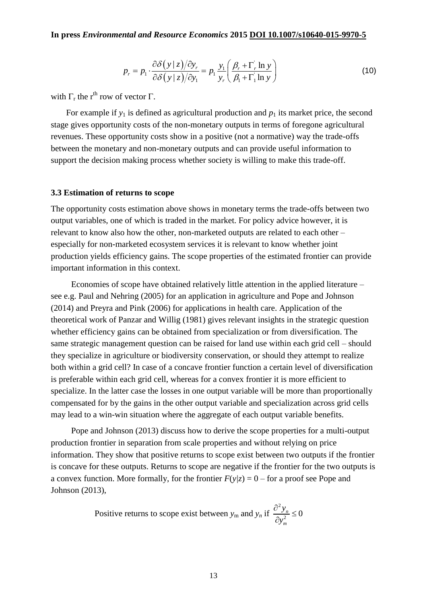<span id="page-12-0"></span>
$$
p_r = p_1 \cdot \frac{\partial \delta(y \mid z) / \partial y_r}{\partial \delta(y \mid z) / \partial y_1} = p_1 \frac{y_1}{y_r} \left( \frac{\beta_r + \Gamma_r \ln y}{\beta_1 + \Gamma_1 \ln y} \right)
$$
(10)

with  $\Gamma_r$  the r<sup>th</sup> row of vector  $\Gamma$ .

For example if  $y_1$  is defined as agricultural production and  $p_1$  its market price, the second stage gives opportunity costs of the non-monetary outputs in terms of foregone agricultural revenues. These opportunity costs show in a positive (not a normative) way the trade-offs between the monetary and non-monetary outputs and can provide useful information to support the decision making process whether society is willing to make this trade-off.

#### **3.3 Estimation of returns to scope**

The opportunity costs estimation above shows in monetary terms the trade-offs between two output variables, one of which is traded in the market. For policy advice however, it is relevant to know also how the other, non-marketed outputs are related to each other – especially for non-marketed ecosystem services it is relevant to know whether joint production yields efficiency gains. The scope properties of the estimated frontier can provide important information in this context.

Economies of scope have obtained relatively little attention in the applied literature – see e.g. Paul and Nehring (2005) for an application in agriculture and Pope and Johnson (2014) and Preyra and Pink (2006) for applications in health care. Application of the theoretical work of Panzar and Willig (1981) gives relevant insights in the strategic question whether efficiency gains can be obtained from specialization or from diversification. The same strategic management question can be raised for land use within each grid cell – should they specialize in agriculture or biodiversity conservation, or should they attempt to realize both within a grid cell? In case of a concave frontier function a certain level of diversification is preferable within each grid cell, whereas for a convex frontier it is more efficient to specialize. In the latter case the losses in one output variable will be more than proportionally compensated for by the gains in the other output variable and specialization across grid cells may lead to a win-win situation where the aggregate of each output variable benefits.

Pope and Johnson (2013) discuss how to derive the scope properties for a multi-output production frontier in separation from scale properties and without relying on price information. They show that positive returns to scope exist between two outputs if the frontier is concave for these outputs. Returns to scope are negative if the frontier for the two outputs is a convex function. More formally, for the frontier  $F(y|z) = 0$  – for a proof see Pope and Johnson (2013),

Positive returns to scope exist between 
$$
y_m
$$
 and  $y_n$  if  $\frac{\partial^2 y_n}{\partial y_m^2} \le 0$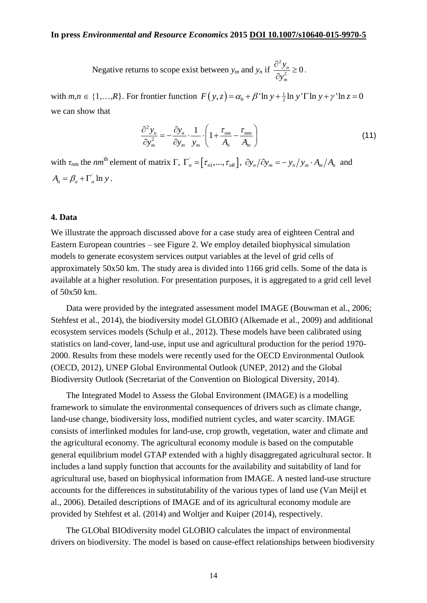Negative returns to scope exist between *y<sup>m</sup>* and *y<sup>n</sup>* if 2  $\frac{y_n}{a^2} \geq 0$ *m y*  $\frac{\partial^2 y_n}{\partial x^n} \ge$  $\widehat{o}$ .

with  $m, n \in \{1,...,R\}$ . For frontier function  $F(y, z) = \alpha_0 + \beta \ln y + \frac{1}{2}$  $cy_m^r$ <br> $F(y, z) = \alpha_0 + \beta' \ln y + \frac{1}{2} \ln y' \ln y + \gamma' \ln z = 0$ we can show that

$$
\frac{\partial^2 y_n}{\partial y_m^2} = -\frac{\partial y_n}{\partial y_m} \cdot \frac{1}{y_m} \cdot \left( 1 + \frac{\tau_{nm}}{A_n} - \frac{\tau_{nm}}{A_m} \right)
$$
(11)

with  $\tau_{nm}$  the *nm*<sup>th</sup> element of matrix  $\Gamma$ ,  $\Gamma_n = [\tau_{n1},...,\tau_{nR}]$ ,  $\partial y_n / \partial y_m = -y_n / y_m \cdot A_m / A_n$  and  $A_n = \beta_n + \Gamma_n$  ln y.

# **4. Data**

We illustrate the approach discussed above for a case study area of eighteen Central and Eastern European countries – see Figure 2. We employ detailed biophysical simulation models to generate ecosystem services output variables at the level of grid cells of approximately 50x50 km. The study area is divided into 1166 grid cells. Some of the data is available at a higher resolution. For presentation purposes, it is aggregated to a grid cell level of 50x50 km.

Data were provided by the integrated assessment model IMAGE (Bouwman et al., 2006; Stehfest et al., 2014), the biodiversity model GLOBIO (Alkemade et al., 2009) and additional ecosystem services models (Schulp et al., 2012). These models have been calibrated using statistics on land-cover, land-use, input use and agricultural production for the period 1970- 2000. Results from these models were recently used for the OECD Environmental Outlook (OECD, 2012), UNEP Global Environmental Outlook (UNEP, 2012) and the Global Biodiversity Outlook (Secretariat of the Convention on Biological Diversity, 2014).

The Integrated Model to Assess the Global Environment (IMAGE) is a modelling framework to simulate the environmental consequences of drivers such as climate change, land-use change, biodiversity loss, modified nutrient cycles, and water scarcity. IMAGE consists of interlinked modules for land-use, crop growth, vegetation, water and climate and the agricultural economy. The agricultural economy module is based on the computable general equilibrium model GTAP extended with a highly disaggregated agricultural sector. It includes a land supply function that accounts for the availability and suitability of land for agricultural use, based on biophysical information from IMAGE. A nested land-use structure accounts for the differences in substitutability of the various types of land use (Van Meijl et al., 2006). Detailed descriptions of IMAGE and of its agricultural economy module are provided by Stehfest et al. (2014) and Woltjer and Kuiper (2014), respectively.

The GLObal BIOdiversity model GLOBIO calculates the impact of environmental drivers on biodiversity. The model is based on cause-effect relationships between biodiversity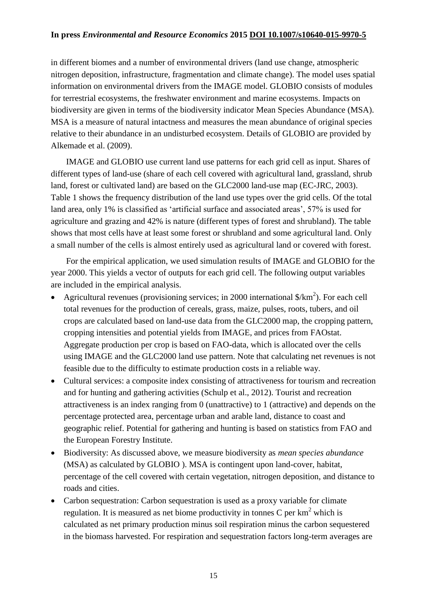in different biomes and a number of environmental drivers (land use change, atmospheric nitrogen deposition, infrastructure, fragmentation and climate change). The model uses spatial information on environmental drivers from the IMAGE model. GLOBIO consists of modules for terrestrial ecosystems, the freshwater environment and marine ecosystems. Impacts on biodiversity are given in terms of the biodiversity indicator Mean Species Abundance (MSA). MSA is a measure of natural intactness and measures the mean abundance of original species relative to their abundance in an undisturbed ecosystem. Details of GLOBIO are provided by Alkemade et al. (2009).

IMAGE and GLOBIO use current land use patterns for each grid cell as input. Shares of different types of land-use (share of each cell covered with agricultural land, grassland, shrub land, forest or cultivated land) are based on the GLC2000 land-use map (EC-JRC, 2003). Table 1 shows the frequency distribution of the land use types over the grid cells. Of the total land area, only 1% is classified as 'artificial surface and associated areas', 57% is used for agriculture and grazing and 42% is nature (different types of forest and shrubland). The table shows that most cells have at least some forest or shrubland and some agricultural land. Only a small number of the cells is almost entirely used as agricultural land or covered with forest.

For the empirical application, we used simulation results of IMAGE and GLOBIO for the year 2000. This yields a vector of outputs for each grid cell. The following output variables are included in the empirical analysis.

- Agricultural revenues (provisioning services; in 2000 international  $\frac{\omega_{\text{max}}}{\omega_{\text{max}}}$ ). For each cell total revenues for the production of cereals, grass, maize, pulses, roots, tubers, and oil crops are calculated based on land-use data from the GLC2000 map, the cropping pattern, cropping intensities and potential yields from IMAGE, and prices from FAOstat. Aggregate production per crop is based on FAO-data, which is allocated over the cells using IMAGE and the GLC2000 land use pattern. Note that calculating net revenues is not feasible due to the difficulty to estimate production costs in a reliable way.
- Cultural services: a composite index consisting of attractiveness for tourism and recreation and for hunting and gathering activities (Schulp et al., 2012). Tourist and recreation attractiveness is an index ranging from 0 (unattractive) to 1 (attractive) and depends on the percentage protected area, percentage urban and arable land, distance to coast and geographic relief. Potential for gathering and hunting is based on statistics from FAO and the European Forestry Institute.
- Biodiversity: As discussed above, we measure biodiversity as *mean species abundance* (MSA) as calculated by GLOBIO ). MSA is contingent upon land-cover, habitat, percentage of the cell covered with certain vegetation, nitrogen deposition, and distance to roads and cities.
- Carbon sequestration: Carbon sequestration is used as a proxy variable for climate regulation. It is measured as net biome productivity in tonnes C per  $km<sup>2</sup>$  which is calculated as net primary production minus soil respiration minus the carbon sequestered in the biomass harvested. For respiration and sequestration factors long-term averages are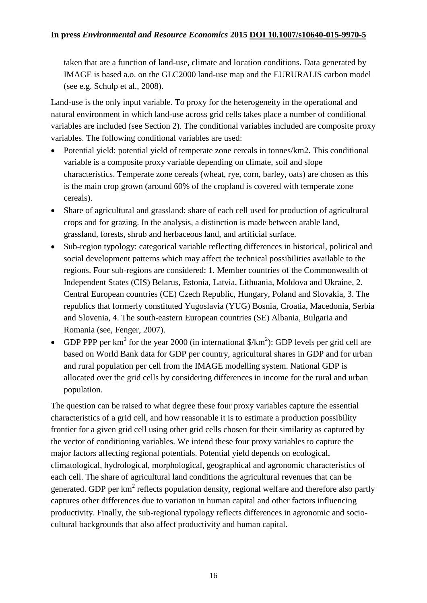taken that are a function of land-use, climate and location conditions. Data generated by IMAGE is based a.o. on the GLC2000 land-use map and the EURURALIS carbon model (see e.g. Schulp et al., 2008).

Land-use is the only input variable. To proxy for the heterogeneity in the operational and natural environment in which land-use across grid cells takes place a number of conditional variables are included (see Section 2). The conditional variables included are composite proxy variables. The following conditional variables are used:

- Potential yield: potential yield of temperate zone cereals in tonnes/km2. This conditional variable is a composite proxy variable depending on climate, soil and slope characteristics. Temperate zone cereals (wheat, rye, corn, barley, oats) are chosen as this is the main crop grown (around 60% of the cropland is covered with temperate zone cereals).
- Share of agricultural and grassland: share of each cell used for production of agricultural crops and for grazing. In the analysis, a distinction is made between arable land, grassland, forests, shrub and herbaceous land, and artificial surface.
- Sub-region typology: categorical variable reflecting differences in historical, political and social development patterns which may affect the technical possibilities available to the regions. Four sub-regions are considered: 1. Member countries of the Commonwealth of Independent States (CIS) Belarus, Estonia, Latvia, Lithuania, Moldova and Ukraine, 2. Central European countries (CE) Czech Republic, Hungary, Poland and Slovakia, 3. The republics that formerly constituted Yugoslavia (YUG) Bosnia, Croatia, Macedonia, Serbia and Slovenia, 4. The south-eastern European countries (SE) Albania, Bulgaria and Romania (see, Fenger, 2007).
- GDP PPP per  $km^2$  for the year 2000 (in international  $\frac{1}{2}$ ): GDP levels per grid cell are based on World Bank data for GDP per country, agricultural shares in GDP and for urban and rural population per cell from the IMAGE modelling system. National GDP is allocated over the grid cells by considering differences in income for the rural and urban population.

The question can be raised to what degree these four proxy variables capture the essential characteristics of a grid cell, and how reasonable it is to estimate a production possibility frontier for a given grid cell using other grid cells chosen for their similarity as captured by the vector of conditioning variables. We intend these four proxy variables to capture the major factors affecting regional potentials. Potential yield depends on ecological, climatological, hydrological, morphological, geographical and agronomic characteristics of each cell. The share of agricultural land conditions the agricultural revenues that can be generated. GDP per  $km^2$  reflects population density, regional welfare and therefore also partly captures other differences due to variation in human capital and other factors influencing productivity. Finally, the sub-regional typology reflects differences in agronomic and sociocultural backgrounds that also affect productivity and human capital.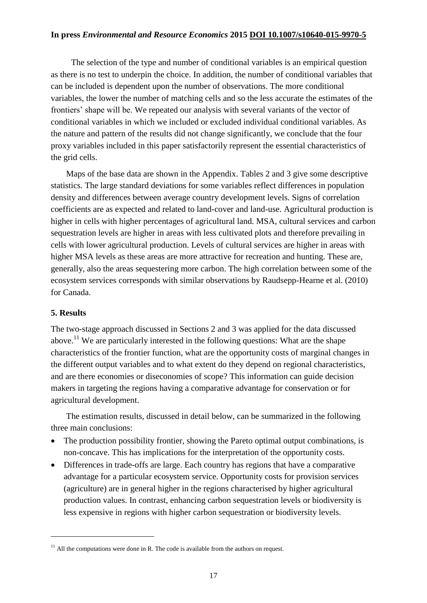The selection of the type and number of conditional variables is an empirical question as there is no test to underpin the choice. In addition, the number of conditional variables that can be included is dependent upon the number of observations. The more conditional variables, the lower the number of matching cells and so the less accurate the estimates of the frontiers' shape will be. We repeated our analysis with several variants of the vector of conditional variables in which we included or excluded individual conditional variables. As the nature and pattern of the results did not change significantly, we conclude that the four proxy variables included in this paper satisfactorily represent the essential characteristics of the grid cells.

Maps of the base data are shown in the Appendix. Tables 2 and 3 give some descriptive statistics. The large standard deviations for some variables reflect differences in population density and differences between average country development levels. Signs of correlation coefficients are as expected and related to land-cover and land-use. Agricultural production is higher in cells with higher percentages of agricultural land. MSA, cultural services and carbon sequestration levels are higher in areas with less cultivated plots and therefore prevailing in cells with lower agricultural production. Levels of cultural services are higher in areas with higher MSA levels as these areas are more attractive for recreation and hunting. These are, generally, also the areas sequestering more carbon. The high correlation between some of the ecosystem services corresponds with similar observations by Raudsepp-Hearne et al. (2010) for Canada.

# **5. Results**

 $\overline{a}$ 

The two-stage approach discussed in Sections 2 and 3 was applied for the data discussed above.<sup>11</sup> We are particularly interested in the following questions: What are the shape characteristics of the frontier function, what are the opportunity costs of marginal changes in the different output variables and to what extent do they depend on regional characteristics, and are there economies or diseconomies of scope? This information can guide decision makers in targeting the regions having a comparative advantage for conservation or for agricultural development.

The estimation results, discussed in detail below, can be summarized in the following three main conclusions:

- The production possibility frontier, showing the Pareto optimal output combinations, is non-concave. This has implications for the interpretation of the opportunity costs.
- Differences in trade-offs are large. Each country has regions that have a comparative advantage for a particular ecosystem service. Opportunity costs for provision services (agriculture) are in general higher in the regions characterised by higher agricultural production values. In contrast, enhancing carbon sequestration levels or biodiversity is less expensive in regions with higher carbon sequestration or biodiversity levels.

 $11$  All the computations were done in R. The code is available from the authors on request.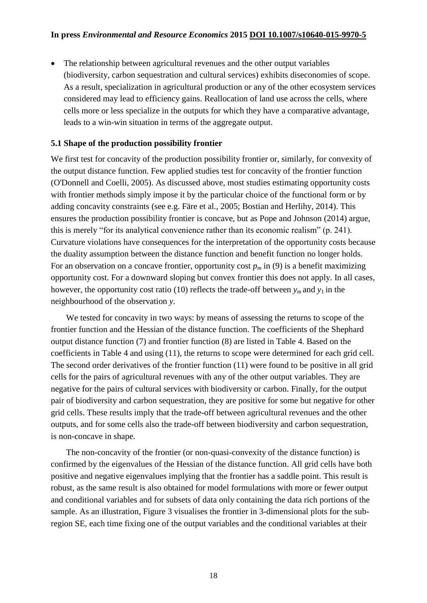The relationship between agricultural revenues and the other output variables (biodiversity, carbon sequestration and cultural services) exhibits diseconomies of scope. As a result, specialization in agricultural production or any of the other ecosystem services considered may lead to efficiency gains. Reallocation of land use across the cells, where cells more or less specialize in the outputs for which they have a comparative advantage, leads to a win-win situation in terms of the aggregate output.

# **5.1 Shape of the production possibility frontier**

We first test for concavity of the production possibility frontier or, similarly, for convexity of the output distance function. Few applied studies test for concavity of the frontier function (O'Donnell and Coelli, 2005). As discussed above, most studies estimating opportunity costs with frontier methods simply impose it by the particular choice of the functional form or by adding concavity constraints (see e.g. Färe et al., 2005; Bostian and Herlihy, 2014). This ensures the production possibility frontier is concave, but as Pope and Johnson (2014) argue, this is merely "for its analytical convenience rather than its economic realism" (p. 241). Curvature violations have consequences for the interpretation of the opportunity costs because the duality assumption between the distance function and benefit function no longer holds. For an observation on a concave frontier, opportunity cost  $p_m$  in [\(9\)](#page-11-1) is a benefit maximizing opportunity cost. For a downward sloping but convex frontier this does not apply. In all cases, however, the opportunity cost ratio [\(10\)](#page-12-0) reflects the trade-off between  $y_m$  and  $y_1$  in the neighbourhood of the observation *y*.

We tested for concavity in two ways: by means of assessing the returns to scope of the frontier function and the Hessian of the distance function. The coefficients of the Shephard output distance function [\(7\)](#page-10-2) and frontier function [\(8\)](#page-11-0) are listed in Table 4. Based on the coefficients in Table 4 and using (11), the returns to scope were determined for each grid cell. The second order derivatives of the frontier function (11) were found to be positive in all grid cells for the pairs of agricultural revenues with any of the other output variables. They are negative for the pairs of cultural services with biodiversity or carbon. Finally, for the output pair of biodiversity and carbon sequestration, they are positive for some but negative for other grid cells. These results imply that the trade-off between agricultural revenues and the other outputs, and for some cells also the trade-off between biodiversity and carbon sequestration, is non-concave in shape.

The non-concavity of the frontier (or non-quasi-convexity of the distance function) is confirmed by the eigenvalues of the Hessian of the distance function. All grid cells have both positive and negative eigenvalues implying that the frontier has a saddle point. This result is robust, as the same result is also obtained for model formulations with more or fewer output and conditional variables and for subsets of data only containing the data rich portions of the sample. As an illustration, Figure 3 visualises the frontier in 3-dimensional plots for the subregion SE, each time fixing one of the output variables and the conditional variables at their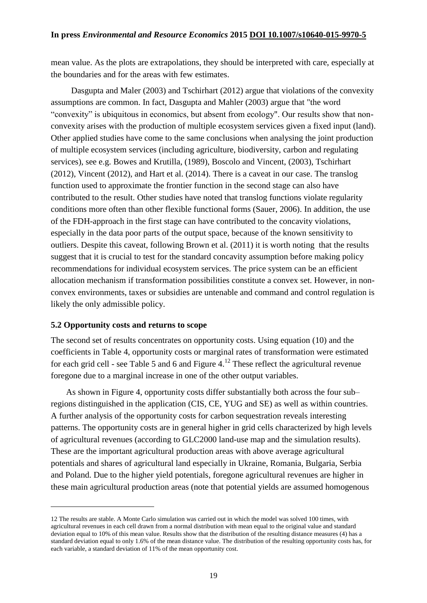mean value. As the plots are extrapolations, they should be interpreted with care, especially at the boundaries and for the areas with few estimates.

Dasgupta and Maler (2003) and Tschirhart (2012) argue that violations of the convexity assumptions are common. In fact, Dasgupta and Mahler (2003) argue that "the word "convexity" is ubiquitous in economics, but absent from ecology". Our results show that nonconvexity arises with the production of multiple ecosystem services given a fixed input (land). Other applied studies have come to the same conclusions when analysing the joint production of multiple ecosystem services (including agriculture, biodiversity, carbon and regulating services), see e.g. Bowes and Krutilla, (1989), Boscolo and Vincent, (2003), Tschirhart (2012), Vincent (2012), and Hart et al. (2014). There is a caveat in our case. The translog function used to approximate the frontier function in the second stage can also have contributed to the result. Other studies have noted that translog functions violate regularity conditions more often than other flexible functional forms (Sauer, 2006). In addition, the use of the FDH-approach in the first stage can have contributed to the concavity violations, especially in the data poor parts of the output space, because of the known sensitivity to outliers. Despite this caveat, following Brown et al. (2011) it is worth noting that the results suggest that it is crucial to test for the standard concavity assumption before making policy recommendations for individual ecosystem services. The price system can be an efficient allocation mechanism if transformation possibilities constitute a convex set. However, in nonconvex environments, taxes or subsidies are untenable and command and control regulation is likely the only admissible policy.

#### **5.2 Opportunity costs and returns to scope**

 $\overline{a}$ 

The second set of results concentrates on opportunity costs. Using equation [\(10\)](#page-12-0) and the coefficients in Table 4, opportunity costs or marginal rates of transformation were estimated for each grid cell - see Table 5 and 6 and Figure 4.<sup>12</sup> These reflect the agricultural revenue foregone due to a marginal increase in one of the other output variables.

As shown in [Figure](#page-30-0) 4, opportunity costs differ substantially both across the four sub– regions distinguished in the application (CIS, CE, YUG and SE) as well as within countries. A further analysis of the opportunity costs for carbon sequestration reveals interesting patterns. The opportunity costs are in general higher in grid cells characterized by high levels of agricultural revenues (according to GLC2000 land-use map and the simulation results). These are the important agricultural production areas with above average agricultural potentials and shares of agricultural land especially in Ukraine, Romania, Bulgaria, Serbia and Poland. Due to the higher yield potentials, foregone agricultural revenues are higher in these main agricultural production areas (note that potential yields are assumed homogenous

<sup>12</sup> The results are stable. A Monte Carlo simulation was carried out in which the model was solved 100 times, with agricultural revenues in each cell drawn from a normal distribution with mean equal to the original value and standard deviation equal to 10% of this mean value. Results show that the distribution of the resulting distance measures (4) has a standard deviation equal to only 1.6% of the mean distance value. The distribution of the resulting opportunity costs has, for each variable, a standard deviation of 11% of the mean opportunity cost.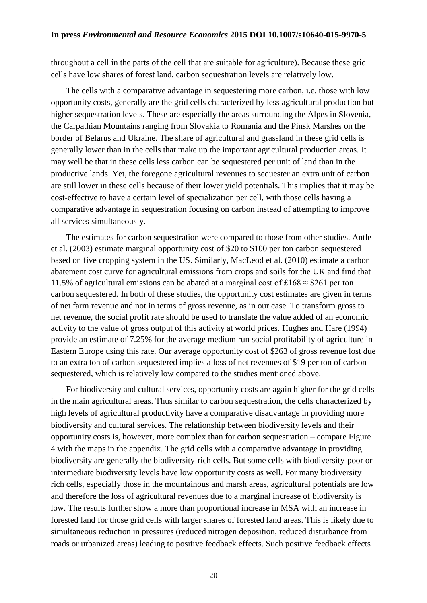throughout a cell in the parts of the cell that are suitable for agriculture). Because these grid cells have low shares of forest land, carbon sequestration levels are relatively low.

The cells with a comparative advantage in sequestering more carbon, i.e. those with low opportunity costs, generally are the grid cells characterized by less agricultural production but higher sequestration levels. These are especially the areas surrounding the Alpes in Slovenia, the Carpathian Mountains ranging from Slovakia to Romania and the Pinsk Marshes on the border of Belarus and Ukraine. The share of agricultural and grassland in these grid cells is generally lower than in the cells that make up the important agricultural production areas. It may well be that in these cells less carbon can be sequestered per unit of land than in the productive lands. Yet, the foregone agricultural revenues to sequester an extra unit of carbon are still lower in these cells because of their lower yield potentials. This implies that it may be cost-effective to have a certain level of specialization per cell, with those cells having a comparative advantage in sequestration focusing on carbon instead of attempting to improve all services simultaneously.

The estimates for carbon sequestration were compared to those from other studies. Antle et al. (2003) estimate marginal opportunity cost of \$20 to \$100 per ton carbon sequestered based on five cropping system in the US. Similarly, MacLeod et al. (2010) estimate a carbon abatement cost curve for agricultural emissions from crops and soils for the UK and find that 11.5% of agricultural emissions can be abated at a marginal cost of £168  $\approx$  \$261 per ton carbon sequestered. In both of these studies, the opportunity cost estimates are given in terms of net farm revenue and not in terms of gross revenue, as in our case. To transform gross to net revenue, the social profit rate should be used to translate the value added of an economic activity to the value of gross output of this activity at world prices. Hughes and Hare (1994) provide an estimate of 7.25% for the average medium run social profitability of agriculture in Eastern Europe using this rate. Our average opportunity cost of \$263 of gross revenue lost due to an extra ton of carbon sequestered implies a loss of net revenues of \$19 per ton of carbon sequestered, which is relatively low compared to the studies mentioned above.

For biodiversity and cultural services, opportunity costs are again higher for the grid cells in the main agricultural areas. Thus similar to carbon sequestration, the cells characterized by high levels of agricultural productivity have a comparative disadvantage in providing more biodiversity and cultural services. The relationship between biodiversity levels and their opportunity costs is, however, more complex than for carbon sequestration – compare Figure 4 with the maps in the appendix. The grid cells with a comparative advantage in providing biodiversity are generally the biodiversity-rich cells. But some cells with biodiversity-poor or intermediate biodiversity levels have low opportunity costs as well. For many biodiversity rich cells, especially those in the mountainous and marsh areas, agricultural potentials are low and therefore the loss of agricultural revenues due to a marginal increase of biodiversity is low. The results further show a more than proportional increase in MSA with an increase in forested land for those grid cells with larger shares of forested land areas. This is likely due to simultaneous reduction in pressures (reduced nitrogen deposition, reduced disturbance from roads or urbanized areas) leading to positive feedback effects. Such positive feedback effects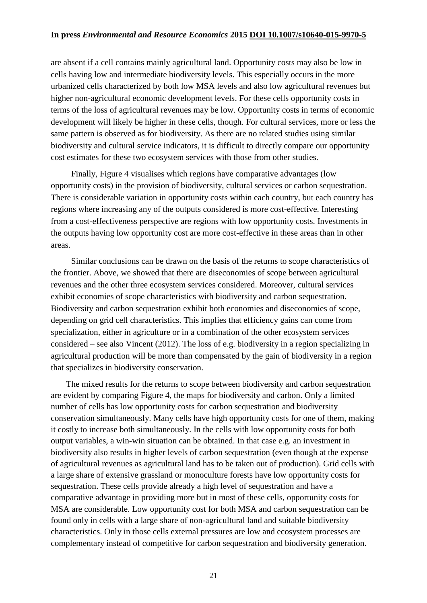are absent if a cell contains mainly agricultural land. Opportunity costs may also be low in cells having low and intermediate biodiversity levels. This especially occurs in the more urbanized cells characterized by both low MSA levels and also low agricultural revenues but higher non-agricultural economic development levels. For these cells opportunity costs in terms of the loss of agricultural revenues may be low. Opportunity costs in terms of economic development will likely be higher in these cells, though. For cultural services, more or less the same pattern is observed as for biodiversity. As there are no related studies using similar biodiversity and cultural service indicators, it is difficult to directly compare our opportunity cost estimates for these two ecosystem services with those from other studies.

Finally, Figure 4 visualises which regions have comparative advantages (low opportunity costs) in the provision of biodiversity, cultural services or carbon sequestration. There is considerable variation in opportunity costs within each country, but each country has regions where increasing any of the outputs considered is more cost-effective. Interesting from a cost-effectiveness perspective are regions with low opportunity costs. Investments in the outputs having low opportunity cost are more cost-effective in these areas than in other areas.

Similar conclusions can be drawn on the basis of the returns to scope characteristics of the frontier. Above, we showed that there are diseconomies of scope between agricultural revenues and the other three ecosystem services considered. Moreover, cultural services exhibit economies of scope characteristics with biodiversity and carbon sequestration. Biodiversity and carbon sequestration exhibit both economies and diseconomies of scope, depending on grid cell characteristics. This implies that efficiency gains can come from specialization, either in agriculture or in a combination of the other ecosystem services considered – see also Vincent (2012). The loss of e.g. biodiversity in a region specializing in agricultural production will be more than compensated by the gain of biodiversity in a region that specializes in biodiversity conservation.

The mixed results for the returns to scope between biodiversity and carbon sequestration are evident by comparing Figure 4, the maps for biodiversity and carbon. Only a limited number of cells has low opportunity costs for carbon sequestration and biodiversity conservation simultaneously. Many cells have high opportunity costs for one of them, making it costly to increase both simultaneously. In the cells with low opportunity costs for both output variables, a win-win situation can be obtained. In that case e.g. an investment in biodiversity also results in higher levels of carbon sequestration (even though at the expense of agricultural revenues as agricultural land has to be taken out of production). Grid cells with a large share of extensive grassland or monoculture forests have low opportunity costs for sequestration. These cells provide already a high level of sequestration and have a comparative advantage in providing more but in most of these cells, opportunity costs for MSA are considerable. Low opportunity cost for both MSA and carbon sequestration can be found only in cells with a large share of non-agricultural land and suitable biodiversity characteristics. Only in those cells external pressures are low and ecosystem processes are complementary instead of competitive for carbon sequestration and biodiversity generation.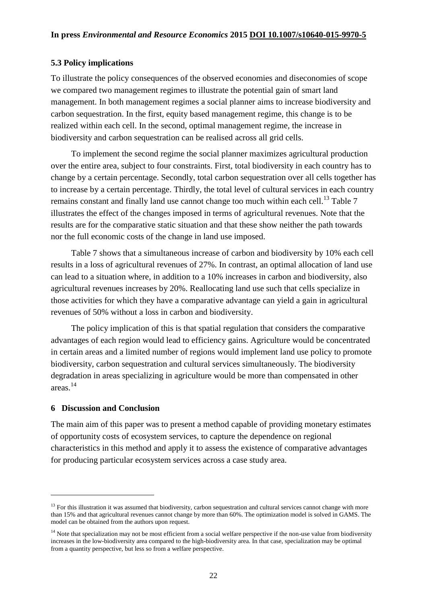# **5.3 Policy implications**

To illustrate the policy consequences of the observed economies and diseconomies of scope we compared two management regimes to illustrate the potential gain of smart land management. In both management regimes a social planner aims to increase biodiversity and carbon sequestration. In the first, equity based management regime, this change is to be realized within each cell. In the second, optimal management regime, the increase in biodiversity and carbon sequestration can be realised across all grid cells.

To implement the second regime the social planner maximizes agricultural production over the entire area, subject to four constraints. First, total biodiversity in each country has to change by a certain percentage. Secondly, total carbon sequestration over all cells together has to increase by a certain percentage. Thirdly, the total level of cultural services in each country remains constant and finally land use cannot change too much within each cell.<sup>13</sup> Table 7 illustrates the effect of the changes imposed in terms of agricultural revenues. Note that the results are for the comparative static situation and that these show neither the path towards nor the full economic costs of the change in land use imposed.

Table 7 shows that a simultaneous increase of carbon and biodiversity by 10% each cell results in a loss of agricultural revenues of 27%. In contrast, an optimal allocation of land use can lead to a situation where, in addition to a 10% increases in carbon and biodiversity, also agricultural revenues increases by 20%. Reallocating land use such that cells specialize in those activities for which they have a comparative advantage can yield a gain in agricultural revenues of 50% without a loss in carbon and biodiversity.

The policy implication of this is that spatial regulation that considers the comparative advantages of each region would lead to efficiency gains. Agriculture would be concentrated in certain areas and a limited number of regions would implement land use policy to promote biodiversity, carbon sequestration and cultural services simultaneously. The biodiversity degradation in areas specializing in agriculture would be more than compensated in other areas. 14

#### **6 Discussion and Conclusion**

 $\overline{a}$ 

The main aim of this paper was to present a method capable of providing monetary estimates of opportunity costs of ecosystem services, to capture the dependence on regional characteristics in this method and apply it to assess the existence of comparative advantages for producing particular ecosystem services across a case study area.

<sup>&</sup>lt;sup>13</sup> For this illustration it was assumed that biodiversity, carbon sequestration and cultural services cannot change with more than 15% and that agricultural revenues cannot change by more than 60%. The optimization model is solved in GAMS. The model can be obtained from the authors upon request.

<sup>&</sup>lt;sup>14</sup> Note that specialization may not be most efficient from a social welfare perspective if the non-use value from biodiversity increases in the low-biodiversity area compared to the high-biodiversity area. In that case, specialization may be optimal from a quantity perspective, but less so from a welfare perspective.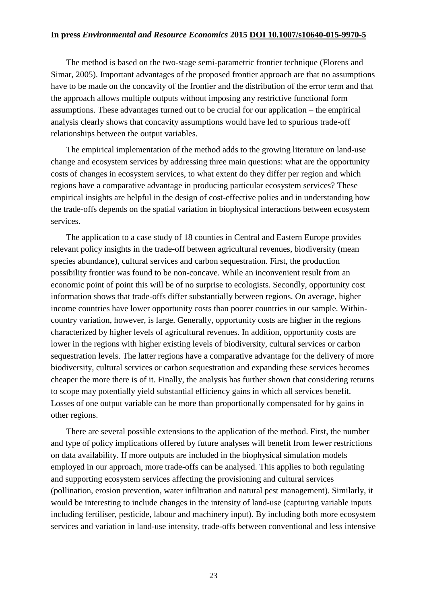The method is based on the two-stage semi-parametric frontier technique (Florens and Simar, 2005). Important advantages of the proposed frontier approach are that no assumptions have to be made on the concavity of the frontier and the distribution of the error term and that the approach allows multiple outputs without imposing any restrictive functional form assumptions. These advantages turned out to be crucial for our application – the empirical analysis clearly shows that concavity assumptions would have led to spurious trade-off relationships between the output variables.

The empirical implementation of the method adds to the growing literature on land-use change and ecosystem services by addressing three main questions: what are the opportunity costs of changes in ecosystem services, to what extent do they differ per region and which regions have a comparative advantage in producing particular ecosystem services? These empirical insights are helpful in the design of cost-effective polies and in understanding how the trade-offs depends on the spatial variation in biophysical interactions between ecosystem services.

The application to a case study of 18 counties in Central and Eastern Europe provides relevant policy insights in the trade-off between agricultural revenues, biodiversity (mean species abundance), cultural services and carbon sequestration. First, the production possibility frontier was found to be non-concave. While an inconvenient result from an economic point of point this will be of no surprise to ecologists. Secondly, opportunity cost information shows that trade-offs differ substantially between regions. On average, higher income countries have lower opportunity costs than poorer countries in our sample. Withincountry variation, however, is large. Generally, opportunity costs are higher in the regions characterized by higher levels of agricultural revenues. In addition, opportunity costs are lower in the regions with higher existing levels of biodiversity, cultural services or carbon sequestration levels. The latter regions have a comparative advantage for the delivery of more biodiversity, cultural services or carbon sequestration and expanding these services becomes cheaper the more there is of it. Finally, the analysis has further shown that considering returns to scope may potentially yield substantial efficiency gains in which all services benefit. Losses of one output variable can be more than proportionally compensated for by gains in other regions.

There are several possible extensions to the application of the method. First, the number and type of policy implications offered by future analyses will benefit from fewer restrictions on data availability. If more outputs are included in the biophysical simulation models employed in our approach, more trade-offs can be analysed. This applies to both regulating and supporting ecosystem services affecting the provisioning and cultural services (pollination, erosion prevention, water infiltration and natural pest management). Similarly, it would be interesting to include changes in the intensity of land-use (capturing variable inputs including fertiliser, pesticide, labour and machinery input). By including both more ecosystem services and variation in land-use intensity, trade-offs between conventional and less intensive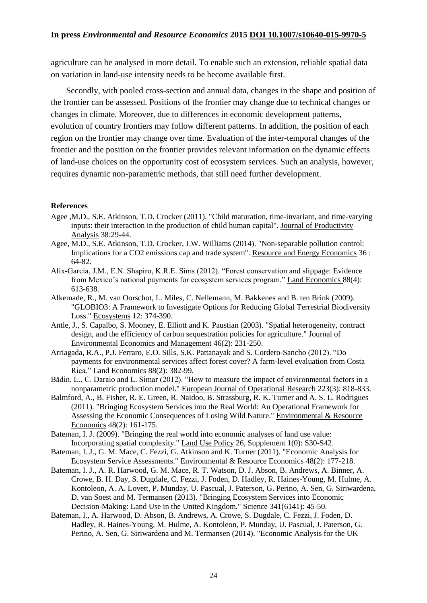agriculture can be analysed in more detail. To enable such an extension, reliable spatial data on variation in land-use intensity needs to be become available first.

Secondly, with pooled cross-section and annual data, changes in the shape and position of the frontier can be assessed. Positions of the frontier may change due to technical changes or changes in climate. Moreover, due to differences in economic development patterns, evolution of country frontiers may follow different patterns. In addition, the position of each region on the frontier may change over time. Evaluation of the inter-temporal changes of the frontier and the position on the frontier provides relevant information on the dynamic effects of land-use choices on the opportunity cost of ecosystem services. Such an analysis, however, requires dynamic non-parametric methods, that still need further development.

#### **References**

- Agee ,M.D., S.E. Atkinson, T.D. Crocker (2011). "Child maturation, time-invariant, and time-varying inputs: their interaction in the production of child human capital". Journal of Productivity Analysis 38:29-44.
- Agee, M.D., S.E. Atkinson, T.D. Crocker, J.W. Williams (2014). "Non-separable pollution control: Implications for a CO2 emissions cap and trade system". Resource and Energy Economics 36 : 64-82.
- Alix-Garcia, J.M., E.N. Shapiro, K.R.E. Sims (2012). "Forest conservation and slippage: Evidence from Mexico's national payments for ecosystem services program." Land Economics 88(4): 613-638.
- Alkemade, R., M. van Oorschot, L. Miles, C. Nellemann, M. Bakkenes and B. ten Brink (2009). "GLOBIO3: A Framework to Investigate Options for Reducing Global Terrestrial Biodiversity Loss." Ecosystems 12: 374-390.
- Antle, J., S. Capalbo, S. Mooney, E. Elliott and K. Paustian (2003). "Spatial heterogeneity, contract design, and the efficiency of carbon sequestration policies for agriculture." Journal of Environmental Economics and Management 46(2): 231-250.
- Arriagada, R.A., P.J. Ferraro, E.O. Sills, S.K. Pattanayak and S. Cordero-Sancho (2012). "Do payments for environmental services affect forest cover? A farm-level evaluation from Costa Rica." Land Economics 88(2): 382-99.
- Bădin, L., C. Daraio and L. Simar (2012). "How to measure the impact of environmental factors in a nonparametric production model." European Journal of Operational Research 223(3): 818-833.
- Balmford, A., B. Fisher, R. E. Green, R. Naidoo, B. Strassburg, R. K. Turner and A. S. L. Rodrigues (2011). "Bringing Ecosystem Services into the Real World: An Operational Framework for Assessing the Economic Consequences of Losing Wild Nature." Environmental & Resource Economics 48(2): 161-175.
- Bateman, I. J. (2009). "Bringing the real world into economic analyses of land use value: Incorporating spatial complexity." Land Use Policy 26, Supplement 1(0): S30-S42.
- Bateman, I. J., G. M. Mace, C. Fezzi, G. Atkinson and K. Turner (2011). "Economic Analysis for Ecosystem Service Assessments." Environmental & Resource Economics 48(2): 177-218.
- Bateman, I. J., A. R. Harwood, G. M. Mace, R. T. Watson, D. J. Abson, B. Andrews, A. Binner, A. Crowe, B. H. Day, S. Dugdale, C. Fezzi, J. Foden, D. Hadley, R. Haines-Young, M. Hulme, A. Kontoleon, A. A. Lovett, P. Munday, U. Pascual, J. Paterson, G. Perino, A. Sen, G. Siriwardena, D. van Soest and M. Termansen (2013). "Bringing Ecosystem Services into Economic Decision-Making: Land Use in the United Kingdom." Science 341(6141): 45-50.
- Bateman, I., A. Harwood, D. Abson, B. Andrews, A. Crowe, S. Dugdale, C. Fezzi, J. Foden, D. Hadley, R. Haines-Young, M. Hulme, A. Kontoleon, P. Munday, U. Pascual, J. Paterson, G. Perino, A. Sen, G. Siriwardena and M. Termansen (2014). "Economic Analysis for the UK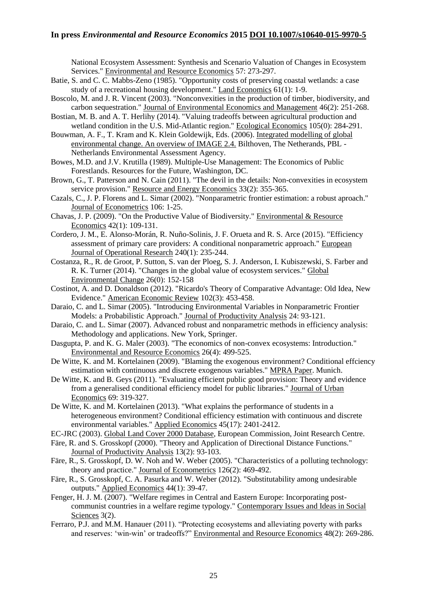National Ecosystem Assessment: Synthesis and Scenario Valuation of Changes in Ecosystem Services." Environmental and Resource Economics 57: 273-297.

- Batie, S. and C. C. Mabbs-Zeno (1985). "Opportunity costs of preserving coastal wetlands: a case study of a recreational housing development." Land Economics 61(1): 1-9.
- Boscolo, M. and J. R. Vincent (2003). "Nonconvexities in the production of timber, biodiversity, and carbon sequestration." Journal of Environmental Economics and Management 46(2): 251-268.

Bostian, M. B. and A. T. Herlihy (2014). "Valuing tradeoffs between agricultural production and wetland condition in the U.S. Mid-Atlantic region." Ecological Economics 105(0): 284-291.

Bouwman, A. F., T. Kram and K. Klein Goldewijk, Eds. (2006). Integrated modelling of global environmental change. An overview of IMAGE 2.4. Bilthoven, The Netherands, PBL - Netherlands Environmental Assessment Agency.

Bowes, M.D. and J.V. Krutilla (1989). Multiple-Use Management: The Economics of Public Forestlands. Resources for the Future, Washington, DC.

Brown, G., T. Patterson and N. Cain (2011). "The devil in the details: Non-convexities in ecosystem service provision." Resource and Energy Economics 33(2): 355-365.

- Cazals, C., J. P. Florens and L. Simar (2002). "Nonparametric frontier estimation: a robust aproach." Journal of Econometrics 106: 1-25.
- Chavas, J. P. (2009). "On the Productive Value of Biodiversity." Environmental & Resource Economics 42(1): 109-131.
- Cordero, J. M., E. Alonso-Morán, R. Nuño-Solinis, J. F. Orueta and R. S. Arce (2015). "Efficiency assessment of primary care providers: A conditional nonparametric approach." European Journal of Operational Research 240(1): 235-244.

Costanza, R., R. de Groot, P. Sutton, S. van der Ploeg, S. J. Anderson, I. Kubiszewski, S. Farber and R. K. Turner (2014). "Changes in the global value of ecosystem services." Global Environmental Change 26(0): 152-158

- Costinot, A. and D. Donaldson (2012). "Ricardo's Theory of Comparative Advantage: Old Idea, New Evidence." American Economic Review 102(3): 453-458.
- Daraio, C. and L. Simar (2005). "Introducing Environmental Variables in Nonparametric Frontier Models: a Probabilistic Approach." Journal of Productivity Analysis 24: 93-121.

Daraio, C. and L. Simar (2007). Advanced robust and nonparametric methods in efficiency analysis: Methodology and applications. New York, Springer.

Dasgupta, P. and K. G. Maler (2003). "The economics of non-convex ecosystems: Introduction." Environmental and Resource Economics 26(4): 499-525.

- De Witte, K. and M. Kortelainen (2009). "Blaming the exogenous environment? Conditional effciency estimation with continuous and discrete exogenous variables." MPRA Paper. Munich.
- De Witte, K. and B. Geys (2011). "Evaluating efficient public good provision: Theory and evidence from a generalised conditional efficiency model for public libraries." Journal of Urban Economics 69: 319-327.
- De Witte, K. and M. Kortelainen (2013). "What explains the performance of students in a heterogeneous environment? Conditional efficiency estimation with continuous and discrete environmental variables." Applied Economics 45(17): 2401-2412.
- EC-JRC (2003). Global Land Cover 2000 Database, European Commission, Joint Research Centre.
- Färe, R. and S. Grosskopf (2000). "Theory and Application of Directional Distance Functions." Journal of Productivity Analysis 13(2): 93-103.

Färe, R., S. Grosskopf, D. W. Noh and W. Weber (2005). "Characteristics of a polluting technology: theory and practice." Journal of Econometrics 126(2): 469-492.

- Färe, R., S. Grosskopf, C. A. Pasurka and W. Weber (2012). "Substitutability among undesirable outputs." Applied Economics 44(1): 39-47.
- Fenger, H. J. M. (2007). "Welfare regimes in Central and Eastern Europe: Incorporating postcommunist countries in a welfare regime typology." Contemporary Issues and Ideas in Social Sciences 3(2).
- Ferraro, P.J. and M.M. Hanauer (2011). "Protecting ecosystems and alleviating poverty with parks and reserves: 'win-win' or tradeoffs?" Environmental and Resource Economics 48(2): 269-286.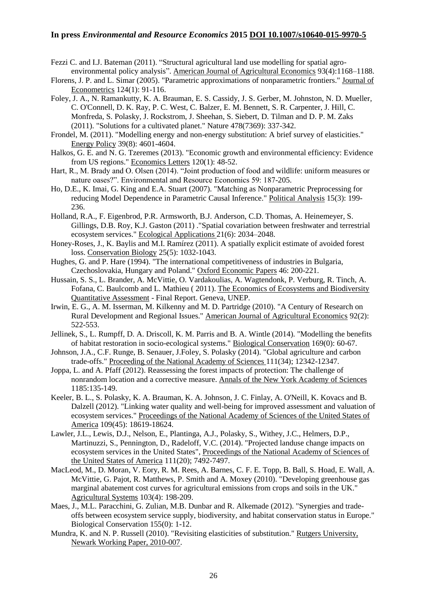- Fezzi C. and I.J. Bateman (2011). "Structural agricultural land use modelling for spatial agroenvironmental policy analysis". American Journal of Agricultural Economics 93(4):1168–1188.
- Florens, J. P. and L. Simar (2005). "Parametric approximations of nonparametric frontiers." Journal of Econometrics 124(1): 91-116.
- Foley, J. A., N. Ramankutty, K. A. Brauman, E. S. Cassidy, J. S. Gerber, M. Johnston, N. D. Mueller, C. O'Connell, D. K. Ray, P. C. West, C. Balzer, E. M. Bennett, S. R. Carpenter, J. Hill, C. Monfreda, S. Polasky, J. Rockstrom, J. Sheehan, S. Siebert, D. Tilman and D. P. M. Zaks (2011). "Solutions for a cultivated planet." Nature 478(7369): 337-342.
- Frondel, M. (2011). "Modelling energy and non-energy substitution: A brief survey of elasticities." Energy Policy 39(8): 4601-4604.
- Halkos, G. E. and N. G. Tzeremes (2013). "Economic growth and environmental efficiency: Evidence from US regions." Economics Letters 120(1): 48-52.
- Hart, R., M. Brady and O. Olsen (2014). "Joint production of food and wildlife: uniform measures or nature oases?". Environmental and Resource Economics 59: 187-205.
- Ho, D.E., K. Imai, G. King and E.A. Stuart (2007). "Matching as Nonparametric Preprocessing for reducing Model Dependence in Parametric Causal Inference." Political Analysis 15(3): 199- 236.
- Holland, R.A., F. Eigenbrod, P.R. Armsworth, B.J. Anderson, C.D. Thomas, A. Heinemeyer, S. Gillings, D.B. Roy, K.J. Gaston (2011) ."Spatial covariation between freshwater and terrestrial ecosystem services." Ecological Applications 21(6): 2034–2048.
- Honey-Roses, J., K. Baylis and M.I. Ramírez (2011). A spatially explicit estimate of avoided forest loss. Conservation Biology 25(5): 1032-1043.
- Hughes, G. and P. Hare (1994). "The international competitiveness of industries in Bulgaria, Czechoslovakia, Hungary and Poland." Oxford Economic Papers 46: 200-221.
- Hussain, S. S., L. Brander, A. McVittie, O. Vardakoulias, A. Wagtendonk, P. Verburg, R. Tinch, A. Fofana, C. Baulcomb and L. Mathieu ( 2011). The Economics of Ecosystems and Biodiversity Quantitative Assessment - Final Report. Geneva, UNEP.
- Irwin, E. G., A. M. Isserman, M. Kilkenny and M. D. Partridge (2010). "A Century of Research on Rural Development and Regional Issues." American Journal of Agricultural Economics 92(2): 522-553.
- Jellinek, S., L. Rumpff, D. A. Driscoll, K. M. Parris and B. A. Wintle (2014). "Modelling the benefits of habitat restoration in socio-ecological systems." Biological Conservation 169(0): 60-67.
- Johnson, J.A., C.F. Runge, B. Senauer, J.Foley, S. Polasky (2014). "Global agriculture and carbon trade-offs." Proceeding of the National Academy of Sciences 111(34); 12342-12347.
- Joppa, L. and A. Pfaff (2012). Reassessing the forest impacts of protection: The challenge of nonrandom location and a corrective measure. Annals of the New York Academy of Sciences 1185:135-149.
- Keeler, B. L., S. Polasky, K. A. Brauman, K. A. Johnson, J. C. Finlay, A. O'Neill, K. Kovacs and B. Dalzell (2012). "Linking water quality and well-being for improved assessment and valuation of ecosystem services." Proceedings of the National Academy of Sciences of the United States of America 109(45): 18619-18624.
- Lawler, J.L., Lewis, D.J., Nelson, E., Plantinga, A.J., Polasky, S., Withey, J.C., Helmers, D.P., Martinuzzi, S., Pennington, D., Radeloff, V.C. (2014). "Projected landuse change impacts on ecosystem services in the United States", Proceedings of the National Academy of Sciences of the United States of America 111(20); 7492-7497.
- MacLeod, M., D. Moran, V. Eory, R. M. Rees, A. Barnes, C. F. E. Topp, B. Ball, S. Hoad, E. Wall, A. McVittie, G. Pajot, R. Matthews, P. Smith and A. Moxey (2010). "Developing greenhouse gas marginal abatement cost curves for agricultural emissions from crops and soils in the UK." Agricultural Systems 103(4): 198-209.
- Maes, J., M.L. Paracchini, G. Zulian, M.B. Dunbar and R. Alkemade (2012). "Synergies and tradeoffs between ecosystem service supply, biodiversity, and habitat conservation status in Europe." Biological Conservation 155(0): 1-12.
- Mundra, K. and N. P. Russell (2010). "Revisiting elasticities of substitution." Rutgers University, Newark Working Paper, 2010-007.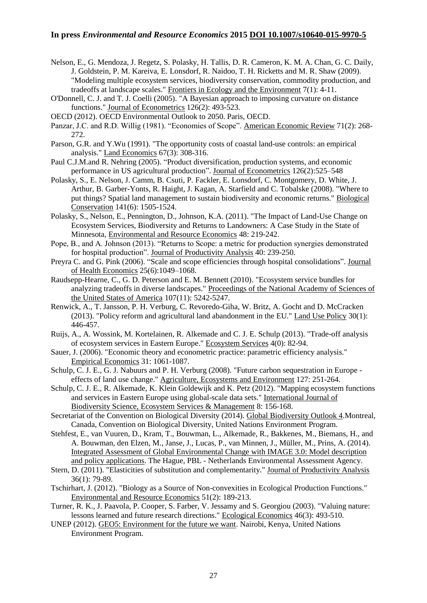- Nelson, E., G. Mendoza, J. Regetz, S. Polasky, H. Tallis, D. R. Cameron, K. M. A. Chan, G. C. Daily, J. Goldstein, P. M. Kareiva, E. Lonsdorf, R. Naidoo, T. H. Ricketts and M. R. Shaw (2009). "Modeling multiple ecosystem services, biodiversity conservation, commodity production, and tradeoffs at landscape scales." Frontiers in Ecology and the Environment 7(1): 4-11.
- O'Donnell, C. J. and T. J. Coelli (2005). "A Bayesian approach to imposing curvature on distance functions." Journal of Econometrics 126(2): 493-523.
- OECD (2012). OECD Environmental Outlook to 2050. Paris, OECD.
- Panzar, J.C. and R.D. Willig (1981). "Economies of Scope". American Economic Review 71(2): 268- 272.
- Parson, G.R. and Y.Wu (1991). "The opportunity costs of coastal land-use controls: an empirical analysis." Land Economics 67(3): 308-316.
- Paul C.J.M.and R. Nehring (2005). "Product diversification, production systems, and economic performance in US agricultural production". Journal of Econometrics 126(2):525–548
- Polasky, S., E. Nelson, J. Camm, B. Csuti, P. Fackler, E. Lonsdorf, C. Montgomery, D. White, J. Arthur, B. Garber-Yonts, R. Haight, J. Kagan, A. Starfield and C. Tobalske (2008). "Where to put things? Spatial land management to sustain biodiversity and economic returns." Biological Conservation 141(6): 1505-1524.
- Polasky, S., Nelson, E., Pennington, D., Johnson, K.A. (2011). "The Impact of Land-Use Change on Ecosystem Services, Biodiversity and Returns to Landowners: A Case Study in the State of Minnesota, Environmental and Resource Economics 48: 219-242.
- Pope, B., and A. Johnson (2013). "Returns to Scope: a metric for production synergies demonstrated for hospital production". Journal of Productivity Analysis 40: 239-250.
- Preyra C. and G. Pink (2006). "Scale and scope efficiencies through hospital consolidations". Journal of Health Economics 25(6):1049–1068.
- Raudsepp-Hearne, C., G. D. Peterson and E. M. Bennett (2010). "Ecosystem service bundles for analyzing tradeoffs in diverse landscapes." Proceedings of the National Academy of Sciences of the United States of America 107(11): 5242-5247.
- Renwick, A., T. Jansson, P. H. Verburg, C. Revoredo-Giha, W. Britz, A. Gocht and D. McCracken (2013). "Policy reform and agricultural land abandonment in the EU." Land Use Policy 30(1): 446-457.
- Ruijs, A., A. Wossink, M. Kortelainen, R. Alkemade and C. J. E. Schulp (2013). "Trade-off analysis of ecosystem services in Eastern Europe." Ecosystem Services 4(0): 82-94.
- Sauer, J. (2006). "Economic theory and econometric practice: parametric efficiency analysis." Empirical Economics 31: 1061-1087.
- Schulp, C. J. E., G. J. Nabuurs and P. H. Verburg (2008). "Future carbon sequestration in Europe effects of land use change." Agriculture, Ecosystems and Environment 127: 251-264.
- Schulp, C. J. E., R. Alkemade, K. Klein Goldewijk and K. Petz (2012). "Mapping ecosystem functions and services in Eastern Europe using global-scale data sets." International Journal of Biodiversity Science, Ecosystem Services & Management 8: 156-168.
- Secretariat of the Convention on Biological Diversity (2014). Global Biodiversity Outlook 4.Montreal, Canada, Convention on Biological Diversity, United Nations Environment Program.
- Stehfest, E., van Vuuren, D., Kram, T., Bouwman, L., Alkemade, R., Bakkenes, M., Biemans, H., and A. Bouwman, den Elzen, M., Janse, J., Lucas, P., van Minnen, J., Müller, M., Prins, A. (2014). Integrated Assessment of Global Environmental Change with IMAGE 3.0: Model description and policy applications. The Hague, PBL - Netherlands Environmental Assessment Agency.
- Stern, D. (2011). "Elasticities of substitution and complementarity." Journal of Productivity Analysis 36(1): 79-89.
- Tschirhart, J. (2012). "Biology as a Source of Non-convexities in Ecological Production Functions." Environmental and Resource Economics 51(2): 189-213.
- Turner, R. K., J. Paavola, P. Cooper, S. Farber, V. Jessamy and S. Georgiou (2003). "Valuing nature: lessons learned and future research directions." Ecological Economics 46(3): 493-510.
- UNEP (2012). GEO5: Environment for the future we want. Nairobi, Kenya, United Nations Environment Program.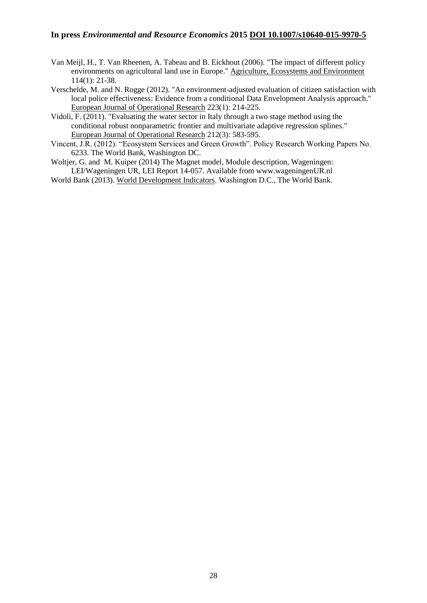- Van Meijl, H., T. Van Rheenen, A. Tabeau and B. Eickhout (2006). "The impact of different policy environments on agricultural land use in Europe." Agriculture, Ecosystems and Environment 114(1): 21-38.
- Verschelde, M. and N. Rogge (2012). "An environment-adjusted evaluation of citizen satisfaction with local police effectiveness: Evidence from a conditional Data Envelopment Analysis approach." European Journal of Operational Research 223(1): 214-225.
- Vidoli, F. (2011). "Evaluating the water sector in Italy through a two stage method using the conditional robust nonparametric frontier and multivariate adaptive regression splines." European Journal of Operational Research 212(3): 583-595.
- Vincent, J.R. (2012). "Ecosystem Services and Green Growth". Policy Research Working Papers No. 6233. The World Bank, Washington DC.
- Woltjer, G. and M. Kuiper (2014) The Magnet model, Module description, Wageningen: LEI/Wageningen UR, LEI Report 14-057. Available from [www.wageningenU](http://www.wageningen/)R.nl
- World Bank (2013). World Development Indicators. Washington D.C., The World Bank.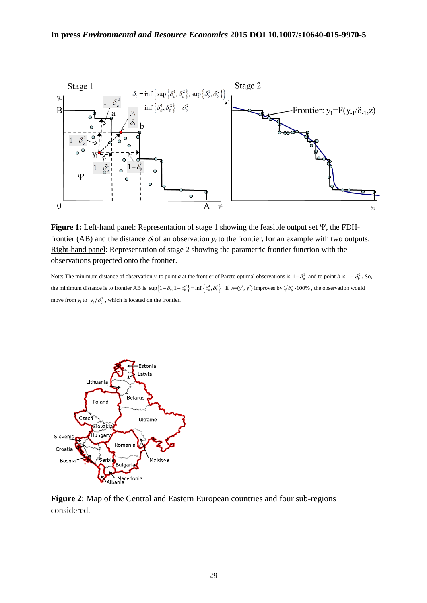

Figure 1: Left-hand panel: Representation of stage 1 showing the feasible output set Y, the FDHfrontier (AB) and the distance  $\delta_l$  of an observation  $y_l$  to the frontier, for an example with two outputs. Right-hand panel: Representation of stage 2 showing the parametric frontier function with the observations projected onto the frontier.

Note: The minimum distance of observation  $y_l$  to point *a* at the frontier of Pareto optimal observations is  $1 - \delta_a^1$  and to point *b* is  $1 - \delta_b^2$ . So, the minimum distance is to frontier AB is  $\sup\left\{1-\delta_a^1, 1-\delta_b^2\right\} = \inf\left\{\delta_a^1, \delta_b^2\right\}$ . If  $y_i = (y^1, y^2)$  improves by  $1/\delta_b^2 \cdot 100\%$ , the observation would move from  $y_l$  to  $y_l / \delta_b^2$ , which is located on the frontier.



**Figure 2**: Map of the Central and Eastern European countries and four sub-regions considered.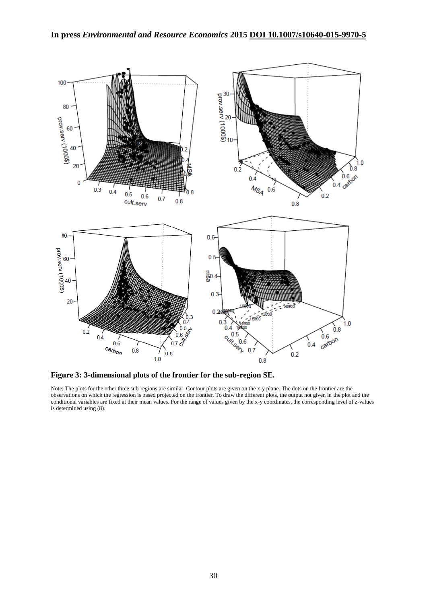

**Figure 3: 3-dimensional plots of the frontier for the sub-region SE.**

Note: The plots for the other three sub-regions are similar. Contour plots are given on the x-y plane. The dots on the frontier are the observations on which the regression is based projected on the frontier. To draw the different plots, the output not given in the plot and the conditional variables are fixed at their mean values. For the range of values given by the x-y coordinates, the corresponding level of z-values is determined usin[g \(8\).](#page-11-0)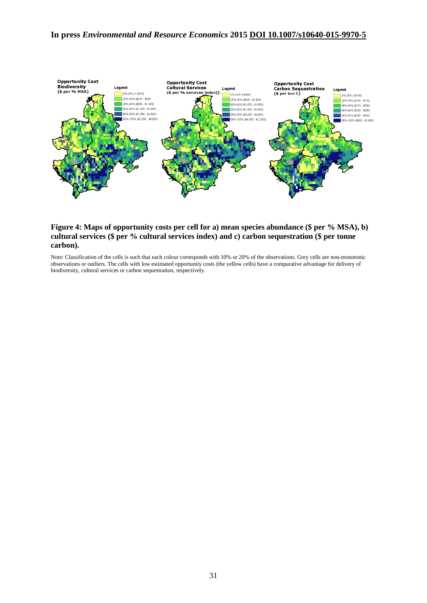

#### <span id="page-30-0"></span>**Figure 4: Maps of opportunity costs per cell for a) mean species abundance (\$ per % MSA), b) cultural services (\$ per % cultural services index) and c) carbon sequestration (\$ per tonne carbon).**

Note: Classification of the cells is such that each colour corresponds with 10% or 20% of the observations. Grey cells are non-monotonic observations or outliers. The cells with low estimated opportunity costs (the yellow cells) have a comparative advantage for delivery of biodiversity, cultural services or carbon sequestration, respectively.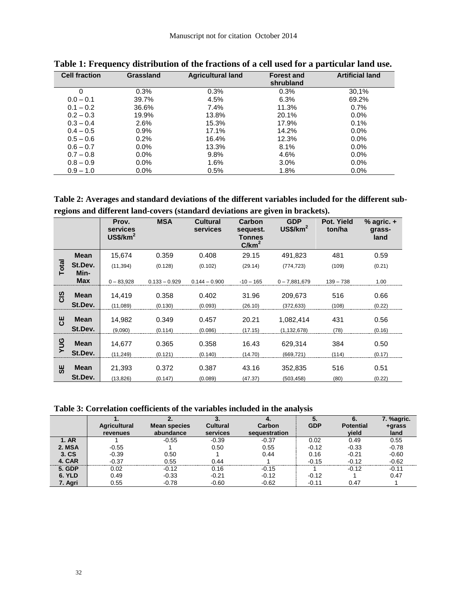| <b>Cell fraction</b> | <b>Grassland</b> | <b>Agricultural land</b> | <b>Forest and</b><br>shrubland | <b>Artificial land</b> |
|----------------------|------------------|--------------------------|--------------------------------|------------------------|
| 0                    | 0.3%             | 0.3%                     | 0.3%                           | 30,1%                  |
| $0.0 - 0.1$          | 39.7%            | 4.5%                     | 6.3%                           | 69.2%                  |
| $0.1 - 0.2$          | 36.6%            | 7.4%                     | 11.3%                          | 0.7%                   |
| $0.2 - 0.3$          | 19.9%            | 13.8%                    | 20.1%                          | 0.0%                   |
| $0.3 - 0.4$          | 2.6%             | 15.3%                    | 17.9%                          | 0.1%                   |
| $0.4 - 0.5$          | 0.9%             | 17.1%                    | 14.2%                          | $0.0\%$                |
| $0.5 - 0.6$          | 0.2%             | 16.4%                    | 12.3%                          | 0.0%                   |
| $0.6 - 0.7$          | $0.0\%$          | 13.3%                    | 8.1%                           | $0.0\%$                |
| $0.7 - 0.8$          | $0.0\%$          | 9.8%                     | 4.6%                           | 0.0%                   |
| $0.8 - 0.9$          | $0.0\%$          | 1.6%                     | $3.0\%$                        | $0.0\%$                |
| $0.9 - 1.0$          | $0.0\%$          | 0.5%                     | 1.8%                           | $0.0\%$                |

**Table 1: Frequency distribution of the fractions of a cell used for a particular land use.** 

**Table 2: Averages and standard deviations of the different variables included for the different subregions and different land-covers (standard deviations are given in brackets).** 

| $\tilde{\phantom{a}}$ |                 | Prov.<br>services<br>$US$/km^2$ | <b>MSA</b>      | <b>Cultural</b><br>services | Carbon<br>sequest.<br><b>Tonnes</b><br>C/km <sup>2</sup> | <b>GDP</b><br>$US$/km^2$ | Pot. Yield<br>ton/ha | $%$ agric. $+$<br>grass-<br>land |
|-----------------------|-----------------|---------------------------------|-----------------|-----------------------------|----------------------------------------------------------|--------------------------|----------------------|----------------------------------|
|                       | Mean            | 15,674                          | 0.359           | 0.408                       | 29.15                                                    | 491,823                  | 481                  | 0.59                             |
| Total                 | St.Dev.<br>Min- | (11, 394)                       | (0.128)         | (0.102)                     | (29.14)                                                  | (774, 723)               | (109)                | (0.21)                           |
|                       | <b>Max</b>      | $0 - 83,928$                    | $0.133 - 0.929$ | $0.144 - 0.900$             | $-10 - 165$                                              | $0 - 7,881,679$          | $139 - 738$          | 1.00                             |
| <b>CIS</b>            | <b>Mean</b>     | 14,419                          | 0.358           | 0.402                       | 31.96                                                    | 209,673                  | 516                  | 0.66                             |
|                       | St.Dev.         | (11,089)                        | (0.130)         | (0.093)                     | (26.10)                                                  | (372, 633)               | (108)                | (0.22)                           |
| 出                     | Mean            | 14,982                          | 0.349           | 0.457                       | 20.21                                                    | 1,082,414                | 431                  | 0.56                             |
|                       | St.Dev.         | (9,090)                         | (0.114)         | (0.086)                     | (17.15)                                                  | (1, 132, 678)            | (78)                 | (0.16)                           |
| PUN                   | <b>Mean</b>     | 14,677                          | 0.365           | 0.358                       | 16.43                                                    | 629,314                  | 384                  | 0.50                             |
|                       | St.Dev.         | (11, 249)                       | (0.121)         | (0.140)                     | (14.70)                                                  | (669, 721)               | (114)                | (0.17)                           |
| ₩                     | <b>Mean</b>     | 21,393                          | 0.372           | 0.387                       | 43.16                                                    | 352,835                  | 516                  | 0.51                             |
|                       | St.Dev.         | (13, 826)                       | (0.147)         | (0.089)                     | (47.37)                                                  | (503, 458)               | (80)                 | (0.22)                           |

# **Table 3: Correlation coefficients of the variables included in the analysis**

|               | Agricultural<br>revenues | <b>Mean species</b><br>abundance | Cultural<br>services | Carbon<br>sequestration | <b>GDP</b> | <b>Potential</b><br>vield | 7. %agric.<br>+grass<br>land |
|---------------|--------------------------|----------------------------------|----------------------|-------------------------|------------|---------------------------|------------------------------|
| 1. AR         |                          | $-0.55$                          | $-0.39$              | $-0.37$                 | 0.02       | 0.49                      | 0.55                         |
| <b>2. MSA</b> | $-0.55$                  |                                  | 0.50                 | 0.55                    | $-0.12$    | $-0.33$                   | $-0.78$                      |
| 3. C.S        | $-0.39$                  | 0.50                             |                      | 0.44                    | 0.16       | $-0.21$                   | $-0.60$                      |
| 4. CAR        | $-0.37$                  | 0.55                             | 0.44                 |                         | $-0.15$    | $-0.12$                   | $-0.62$                      |
| <b>5. GDP</b> | 0.02                     | $-0.12$                          | 0.16                 | $-0.15$                 |            | $-0.12$                   | $-0.11$                      |
| 6. YLD        | 0.49                     | $-0.33$                          | $-0.21$              | $-0.12$                 | $-0.12$    |                           | 0.47                         |
| 7. Agri       | 0.55                     | $-0.78$                          | $-0.60$              | $-0.62$                 | $-0.11$    | 0.47                      |                              |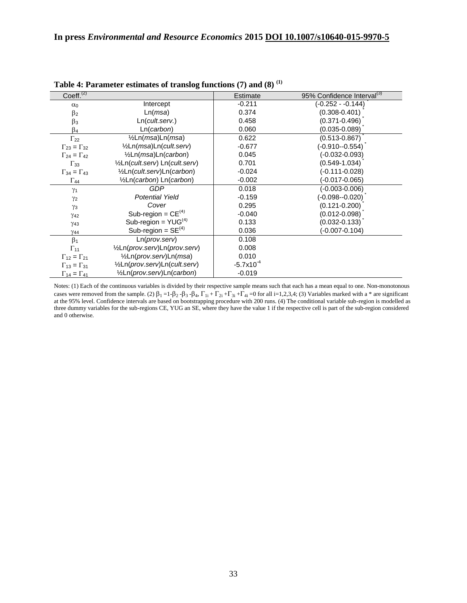| Coeff. <sup>(2)</sup>       |                                                        | Estimate       | 95% Confidence Interval <sup>(3)</sup> |
|-----------------------------|--------------------------------------------------------|----------------|----------------------------------------|
| $\alpha_0$                  | Intercept                                              | $-0.211$       | $(-0.252 - 0.144)$                     |
| $\beta$ <sub>2</sub>        | Ln(msa)                                                | 0.374          | $(0.308 - 0.401)$                      |
| $\beta_3$                   | Ln(cult.serv.)                                         | 0.458          | $(0.371 - 0.496)$                      |
| $\beta_4$                   | Ln(carbon)                                             | 0.060          | $(0.035 - 0.089)$                      |
| $\Gamma_{22}$               | $\frac{1}{2}$ Ln( <i>msa</i> )Ln( <i>msa</i> )         | 0.622          | $(0.513 - 0.867)$                      |
| $\Gamma_{23} = \Gamma_{32}$ | 1/ <sub>2</sub> Ln( <i>msa</i> )Ln( <i>cult.serv</i> ) | $-0.677$       | $(-0.910 - 0.554)$                     |
| $\Gamma_{24} = \Gamma_{42}$ | $\frac{1}{2}$ Ln( <i>msa</i> )Ln( <i>carbon</i> )      | 0.045          | $(-0.032 - 0.093)$                     |
| $\Gamma_{33}$               | 1/2Ln(cult.serv) Ln(cult.serv)                         | 0.701          | $(0.549 - 1.034)$                      |
| $\Gamma_{34} = \Gamma_{43}$ | 1/2Ln(cult.serv)Ln(carbon)                             | $-0.024$       | (-0.111-0.028)                         |
| $\Gamma_{44}$               | 1/2Ln(carbon) Ln(carbon)                               | $-0.002$       | $(-0.017 - 0.065)$                     |
| $\gamma_1$                  | GDP                                                    | 0.018          | $(-0.003 - 0.006)$                     |
| $\gamma_2$                  | <b>Potential Yield</b>                                 | $-0.159$       | $(-0.098 - 0.020)$                     |
| $\gamma_3$                  | Cover                                                  | 0.295          | $(0.121 - 0.200)$                      |
| $\gamma_{42}$               | Sub-region = $CE^{(4)}$                                | $-0.040$       | $(0.012 - 0.098)$                      |
| $\gamma$ 43                 | Sub-region = $YUG(4)$                                  | 0.133          | (0.032-0.133)                          |
| $\gamma$ 44                 | Sub-region = $SE^{(4)}$                                | 0.036          | $(-0.007 - 0.104)$                     |
| $\beta_1$                   | Ln(prov.serv)                                          | 0.108          |                                        |
| $\Gamma_{11}$               | 1/2Ln(prov.serv)Ln(prov.serv)                          | 0.008          |                                        |
| $\Gamma_{12} = \Gamma_{21}$ | 1/2Ln(prov.serv)Ln(msa)                                | 0.010          |                                        |
| $\Gamma_{13} = \Gamma_{31}$ | 1/2Ln(prov.serv)Ln(cult.serv)                          | $-5.7x10^{-4}$ |                                        |
| $\Gamma_{14} = \Gamma_{41}$ | 1/2Ln(prov.serv)Ln(carbon)                             | $-0.019$       |                                        |

| Table 4: Parameter estimates of translog functions $(7)$ and $(8)$ $(1)$ |  |
|--------------------------------------------------------------------------|--|
|--------------------------------------------------------------------------|--|

Notes: (1) Each of the continuous variables is divided by their respective sample means such that each has a mean equal to one. Non-monotonous cases were removed from the sample. (2)  $\beta_1 = 1 - \beta_2 - \beta_3 - \beta_4$ ,  $\Gamma_{1i} + \Gamma_{2i} + \Gamma_{3i} + \Gamma_{4i} = 0$  for all  $i = 1, 2, 3, 4$ ; (3) Variables marked with a \* are significant at the 95% level. Confidence intervals are based on bootstrapping procedure with 200 runs. (4) The conditional variable sub-region is modelled as three dummy variables for the sub-regions CE, YUG an SE, where they have the value 1 if the respective cell is part of the sub-region considered and 0 otherwise.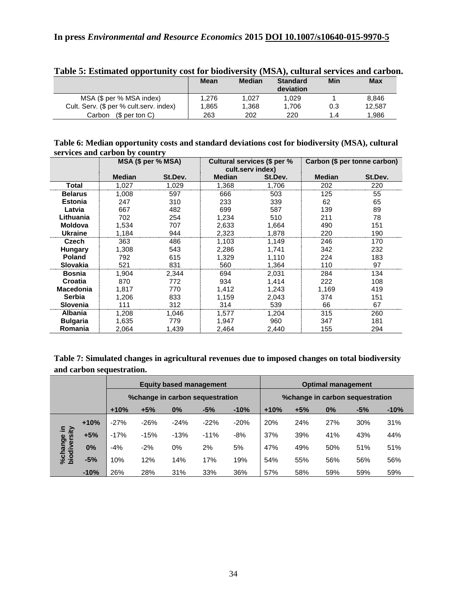| Tuble of Ebulduce opportunity cost for blowfelbley (htdl:1); cultural bet flees und cultural |             |               |                              |     |            |
|----------------------------------------------------------------------------------------------|-------------|---------------|------------------------------|-----|------------|
|                                                                                              | <b>Mean</b> | <b>Median</b> | <b>Standard</b><br>deviation | Min | <b>Max</b> |
| MSA (\$ per % MSA index)                                                                     | 1.276       | 1.027         | 1.029                        |     | 8.846      |
| Cult. Serv. (\$ per % cult.serv. index)                                                      | .865        | 1,368         | 1.706                        | 0.3 | 12,587     |
| $(S$ per ton $C$ )<br>Carbon                                                                 | 263         | 202           | 220                          | 1.4 | 1.986      |

| Table 5: Estimated opportunity cost for biodiversity (MSA), cultural services and carbon. |  |  |  |  |
|-------------------------------------------------------------------------------------------|--|--|--|--|
|-------------------------------------------------------------------------------------------|--|--|--|--|

**Table 6: Median opportunity costs and standard deviations cost for biodiversity (MSA), cultural services and carbon by country**

|                  |               | MSA (\$ per % MSA) | Carbon (\$ per tonne carbon)<br>Cultural services (\$ per % |                  |               |         |  |
|------------------|---------------|--------------------|-------------------------------------------------------------|------------------|---------------|---------|--|
|                  |               |                    |                                                             | cult.serv index) |               |         |  |
|                  | <b>Median</b> | St.Dev.            | <b>Median</b>                                               | St.Dev.          | <b>Median</b> | St.Dev. |  |
| Total            | 1,027         | 1,029              | 1,368                                                       | 1,706            | 202           | 220     |  |
| <b>Belarus</b>   | 1,008         | 597                | 666                                                         | 503              | 125           | 55      |  |
| <b>Estonia</b>   | 247           | 310                | 233                                                         | 339              | 62            | 65      |  |
| Latvia           | 667           | 482                | 699                                                         | 587              | 139           | 89      |  |
| Lithuania        | 702           | 254                | 1,234                                                       | 510              | 211           | 78      |  |
| <b>Moldova</b>   | 1,534         | 707                | 2,633                                                       | 1,664            | 490           | 151     |  |
| <b>Ukraine</b>   | 1.184         | 944                | 2,323                                                       | 1.878            | 220           | 190     |  |
| Czech            | 363           | 486                | 1.103                                                       | 1.149            | 246           | 170     |  |
| <b>Hungary</b>   | 1,308         | 543                | 2,286                                                       | 1,741            | 342           | 232     |  |
| <b>Poland</b>    | 792           | 615                | 1,329                                                       | 1,110            | 224           | 183     |  |
| <b>Slovakia</b>  | 521           | 831                | 560                                                         | 1,364            | 110           | 97      |  |
| <b>Bosnia</b>    | 1,904         | 2,344              | 694                                                         | 2,031            | 284           | 134     |  |
| Croatia          | 870           | 772                | 934                                                         | 1,414            | 222           | 108     |  |
| <b>Macedonia</b> | 1,817         | 770                | 1,412                                                       | 1,243            | 1,169         | 419     |  |
| Serbia           | 1,206         | 833                | 1,159                                                       | 2,043            | 374           | 151     |  |
| <b>Slovenia</b>  | 111           | 312                | 314                                                         | 539              | 66            | 67      |  |
| <b>Albania</b>   | 1,208         | 1,046              | 1,577                                                       | 1,204            | 315           | 260     |  |
| <b>Bulgaria</b>  | 1,635         | 779                | 1,947                                                       | 960              | 347           | 181     |  |
| Romania          | 2,064         | 1,439              | 2,464                                                       | 2,440            | 155           | 294     |  |

**Table 7: Simulated changes in agricultural revenues due to imposed changes on total biodiversity and carbon sequestration.** 

|                            |        | <b>Equity based management</b> |        |        |                                  | <b>Optimal management</b> |        |       |                                 |       |        |
|----------------------------|--------|--------------------------------|--------|--------|----------------------------------|---------------------------|--------|-------|---------------------------------|-------|--------|
|                            |        |                                |        |        | % change in carbon sequestration |                           |        |       | %change in carbon sequestration |       |        |
|                            |        | $+10%$                         | $+5%$  | 0%     | $-5%$                            | $-10%$                    | $+10%$ | $+5%$ | 0%                              | $-5%$ | $-10%$ |
|                            | $+10%$ | $-27%$                         | $-26%$ | $-24%$ | $-22%$                           | $-20%$                    | 20%    | 24%   | 27%                             | 30%   | 31%    |
| %change in<br>biodiversity | $+5%$  | $-17%$                         | $-15%$ | $-13%$ | $-11%$                           | $-8%$                     | 37%    | 39%   | 41%                             | 43%   | 44%    |
|                            | 0%     | $-4%$                          | $-2%$  | $0\%$  | 2%                               | 5%                        | 47%    | 49%   | 50%                             | 51%   | 51%    |
|                            | $-5%$  | 10%                            | 12%    | 14%    | 17%                              | 19%                       | 54%    | 55%   | 56%                             | 56%   | 56%    |
|                            | $-10%$ | 26%                            | 28%    | 31%    | 33%                              | 36%                       | 57%    | 58%   | 59%                             | 59%   | 59%    |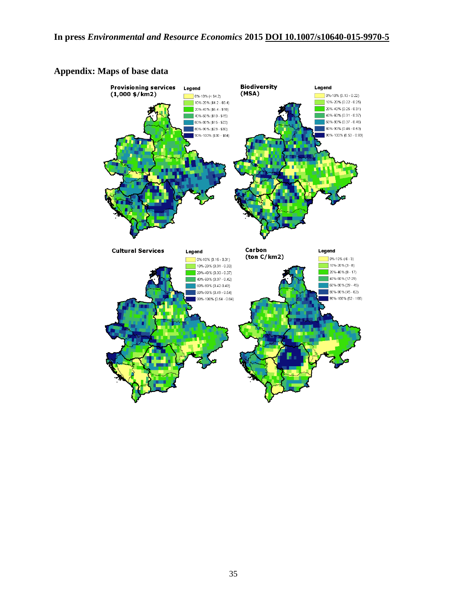

# **Appendix: Maps of base data**